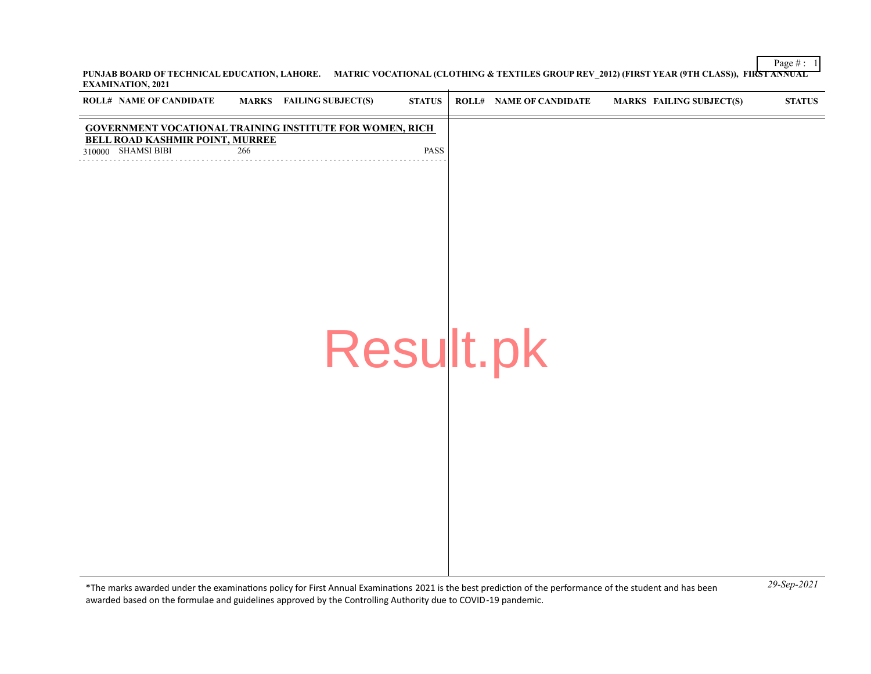Page  $\# : \ 1$ **PUNJAB BOARD OF TECHNICAL EDUCATION, LAHORE. MATRIC VOCATIONAL (CLOTHING & TEXTILES GROUP REV\_2012) (FIRST YEAR (9TH CLASS)), FIRST ANNUAL EXAMINATION, 2021**  $\mathbf{r}$ 

| ROLL# NAME OF CANDIDATE                                                                                                         |     | <b>MARKS</b> FAILING SUBJECT(S) | <b>STATUS</b> | <b>ROLL# NAME OF CANDIDATE</b> | <b>MARKS FAILING SUBJECT(S)</b> | <b>STATUS</b> |
|---------------------------------------------------------------------------------------------------------------------------------|-----|---------------------------------|---------------|--------------------------------|---------------------------------|---------------|
| <b>GOVERNMENT VOCATIONAL TRAINING INSTITUTE FOR WOMEN, RICH</b><br><b>BELL ROAD KASHMIR POINT, MURREE</b><br>310000 SHAMSI BIBI | 266 |                                 | PASS          |                                |                                 |               |
|                                                                                                                                 |     |                                 |               |                                |                                 |               |
|                                                                                                                                 |     |                                 |               |                                |                                 |               |
|                                                                                                                                 |     |                                 | Result.pk     |                                |                                 |               |
|                                                                                                                                 |     |                                 |               |                                |                                 |               |
|                                                                                                                                 |     |                                 |               |                                |                                 |               |
|                                                                                                                                 |     |                                 |               |                                |                                 |               |
|                                                                                                                                 |     |                                 |               |                                |                                 |               |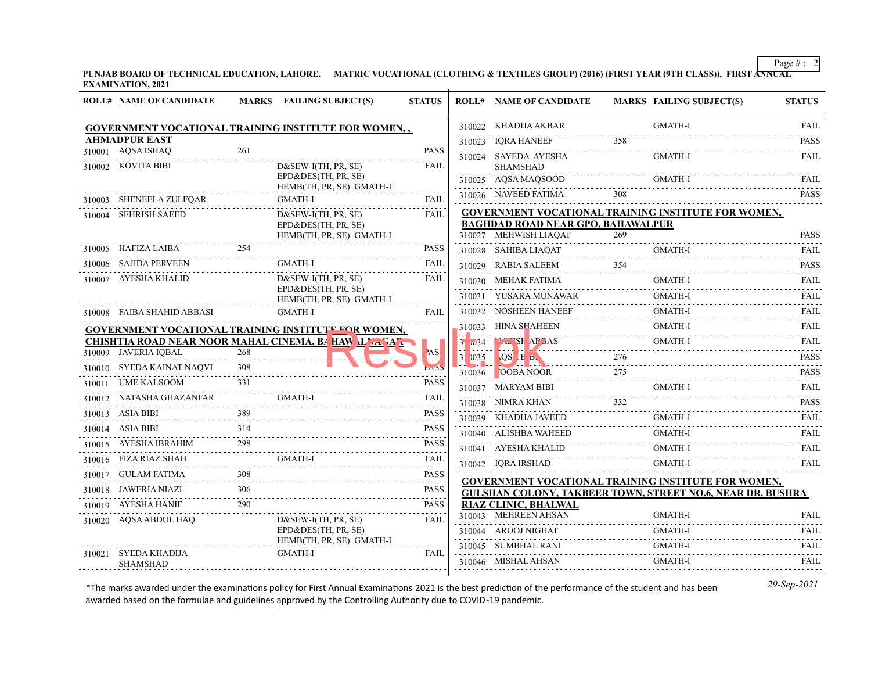**PUNJAB BOARD OF TECHNICAL EDUCATION, LAHORE. MATRIC VOCATIONAL (CLOTHING & TEXTILES GROUP) (2016) (FIRST YEAR (9TH CLASS)), FIRST ANNUAL EXAMINATION, 2021**

| <b>ROLL# NAME OF CANDIDATE</b> |     | <b>MARKS</b> FAILING SUBJECT(S)                              | <b>STATUS</b>            |             | <b>ROLL# NAME OF CANDIDATE</b>                                                                         |     | <b>MARKS FAILING SUBJECT(S)</b>  | <b>STATUS</b>                       |
|--------------------------------|-----|--------------------------------------------------------------|--------------------------|-------------|--------------------------------------------------------------------------------------------------------|-----|----------------------------------|-------------------------------------|
|                                |     | GOVERNMENT VOCATIONAL TRAINING INSTITUTE FOR WOMEN,,         |                          |             | 310022 KHADIJA AKBAR                                                                                   |     | <b>GMATH-I</b>                   | FAIL                                |
| <b>AHMADPUR EAST</b>           |     |                                                              |                          |             | 310023 IQRA HANEEF                                                                                     | 358 |                                  | <b>PASS</b><br>$\alpha$ is a single |
| 310001 AQSA ISHAQ              | 261 |                                                              | <b>PASS</b>              |             | 310024 SAYEDA AYESHA                                                                                   |     | GMATH-I                          | <b>FAIL</b>                         |
| 310002 KOVITA BIBI             |     | $D&SEW-I(TH, PR, SE)$<br>EPD&DES(TH, PR, SE)                 | FAIL                     |             | <b>SHAMSHAD</b><br>310025 AQSA MAQSOOD                                                                 |     | <b>GMATH-I</b>                   | <b>FAIL</b>                         |
|                                |     | HEMB(TH, PR, SE) GMATH-I                                     |                          |             | 310026 NAVEED FATIMA                                                                                   | 308 |                                  | .<br><b>PASS</b>                    |
| 310003 SHENEELA ZULFQAR        |     | GMATH-I                                                      | <b>FAIL</b>              |             |                                                                                                        |     |                                  |                                     |
| 310004 SEHRISH SAEED           |     | $D&SEW-I(TH, PR, SE)$<br>EPD&DES(TH, PR, SE)                 | <b>FAIL</b>              |             | <b>GOVERNMENT VOCATIONAL TRAINING INSTITUTE FOR WOMEN,</b><br><b>BAGHDAD ROAD NEAR GPO, BAHAWALPUR</b> |     |                                  |                                     |
|                                |     | HEMB(TH, PR, SE) GMATH-I                                     |                          |             | 310027 MEHWISH LIAQAT                                                                                  | 269 |                                  | <b>PASS</b><br>.                    |
| 310005 HAFIZA LAIBA            | 254 |                                                              | <b>PASS</b>              |             | 310028 SAHIBA LIAQAT                                                                                   |     | <b>GMATH-I</b>                   | <b>FAIL</b>                         |
| 310006 SAJIDA PERVEEN<br>.     |     | <b>GMATH-I</b>                                               | <b>FAIL</b>              |             | 310029 RABIA SALEEM                                                                                    |     |                                  | <b>PASS</b>                         |
| 310007 AYESHA KHALID           |     | $D&SEW-I(TH, PR, SE)$                                        | FAIL                     |             | 310030 MEHAK FATIMA                                                                                    |     | <b>GMATH-I</b>                   | FAIL                                |
|                                |     | EPD&DES(TH, PR, SE)<br>HEMB(TH, PR, SE) GMATH-I              |                          |             | 310031 YUSARA MUNAWAR                                                                                  |     | <b>GMATH-I</b>                   | FAIL<br><u>.</u>                    |
| 310008 FAIBA SHAHID ABBASI     |     | GMATH-I                                                      | <b>FAIL</b>              |             | 310032 NOSHEEN HANEEF                                                                                  |     | <b>GMATH-I</b>                   | <b>FAIL</b>                         |
|                                |     | GOVERNMENT VOCATIONAL TRAINING INSTITUTE FOR WOMEN,          |                          |             | 310033 HINA SHAHEEN                                                                                    |     | <b>GMATH-I</b>                   | <b>FAIL</b>                         |
|                                |     | <b>CHISHTIA ROAD NEAR NOOR MAHAL CINEMA, BA HAV ALVA SAL</b> |                          | 31,334<br>. | NEWSPAPERS GMATH-I                                                                                     |     |                                  | <b>FAIL</b>                         |
| 310009 JAVERIA IOBAL           | 268 |                                                              | AS!                      |             | 31 0035 QS E B                                                                                         | 276 | 276                              | <b>PASS</b>                         |
| 310010 SYEDA KAINAT NAQVI      |     |                                                              |                          |             | $310036$ OOBA NOOR                                                                                     |     | <u>JOBA NOOR</u> 275<br>ASS PASS |                                     |
| 310011 UME KALSOOM             |     | )M 331<br>AZANFAR GMATH-I                                    | <b>PASS</b>              |             | 310037 MARYAM BIBI                                                                                     |     | GMATH-I                          | FAII.                               |
| 310012 NATASHA GHAZANFAR       |     |                                                              | <b>FAIL</b>              |             | 310038 NIMRA KHAN                                                                                      | 332 |                                  | <b>PASS</b>                         |
| 310013 ASIA BIBI               | 389 |                                                              | <b>PASS</b>              |             | 310039 KHADIJA JAVEED                                                                                  |     | <b>GMATH-I</b>                   | <b>FAIL</b>                         |
| 310014 ASIA BIBI               | 314 |                                                              | <b>PASS</b>              |             | 310040 ALISHBA WAHEED                                                                                  |     | <b>GMATH-I</b>                   | <b>FAIL</b>                         |
| 310015 AYESHA IBRAHIM          | 298 |                                                              | <b>PASS</b>              |             | $310041 \quad AYESHA KHALID$                                                                           |     | <b>GMATH-I</b>                   | <b>FAIL</b><br>.                    |
| 310016 FIZA RIAZ SHAH          |     | <b>GMATH-I</b>                                               | FAIL                     |             | 310042 IQRA IRSHAD                                                                                     |     | <b>GMATH-I</b>                   | FAIL                                |
| 310017 GULAM FATIMA            | 308 |                                                              | <b>PASS</b><br>2.2.2.2.2 |             | GOVERNMENT VOCATIONAL TRAINING INSTITUTE FOR WOMEN,                                                    |     |                                  |                                     |
| 310018 JAWERIA NIAZI           | 306 |                                                              | <b>PASS</b>              |             | <b>GULSHAN COLONY, TAKBEER TOWN, STREET NO.6, NEAR DR. BUSHRA</b>                                      |     |                                  |                                     |
| 310019 AYESHA HANIF            | 290 |                                                              | <b>PASS</b>              |             | <b>RIAZ CLINIC, BHALWAL</b><br>310043 MEHREEN AHSAN                                                    |     | <b>GMATH-I</b>                   | <b>FAIL</b>                         |
| 310020 AQSA ABDUL HAQ          |     | D&SEW-I(TH, PR, SE)<br>EPD&DES(TH, PR, SE)                   | FAIL                     |             | 310044 AROOJ NIGHAT                                                                                    |     | <b>GMATH-I</b>                   | <b>FAIL</b>                         |
| 310021 SYEDA KHADIJA           |     | HEMB(TH, PR, SE) GMATH-I<br><b>GMATH-I</b>                   |                          |             | 310045 SUMBHAL RANI                                                                                    |     | <b>GMATH-I</b>                   | <b>FAIL</b>                         |
| <b>SHAMSHAD</b>                | .   |                                                              | <b>FAIL</b>              |             | 310046 MISHAL AHSAN                                                                                    |     | <b>GMATH-I</b>                   | .<br><b>FAIL</b>                    |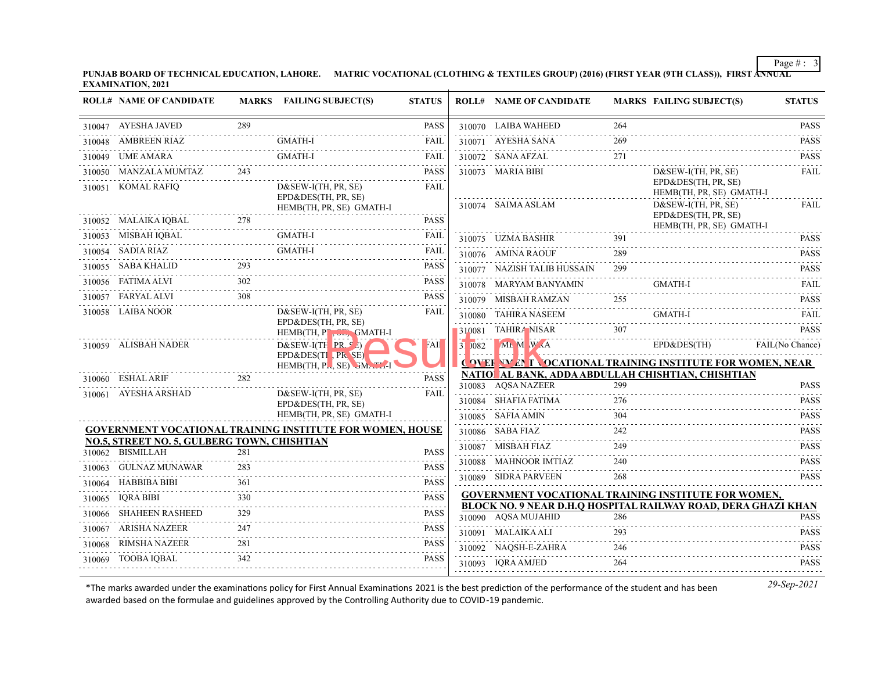**PUNJAB BOARD OF TECHNICAL EDUCATION, LAHORE. MATRIC VOCATIONAL (CLOTHING & TEXTILES GROUP) (2016) (FIRST YEAR (9TH CLASS)), FIRST ANNUAL EXAMINATION, 2021**

| <b>ROLL# NAME OF CANDIDATE</b>              |                             | MARKS FAILING SUBJECT(S)                                                 | <b>STATUS</b>              |                 | <b>ROLL# NAME OF CANDIDATE</b>                                          |     | <b>MARKS FAILING SUBJECT(S)</b>                                          | <b>STATUS</b>   |
|---------------------------------------------|-----------------------------|--------------------------------------------------------------------------|----------------------------|-----------------|-------------------------------------------------------------------------|-----|--------------------------------------------------------------------------|-----------------|
| 310047 AYESHA JAVED                         | 289                         |                                                                          | <b>PASS</b><br>.           |                 | 310070 LAIBA WAHEED                                                     | 264 |                                                                          | <b>PASS</b>     |
| 310048 AMBREEN RIAZ                         |                             | <b>GMATH-I</b>                                                           | <b>FAIL</b>                |                 | 310071 AYESHA SANA                                                      | 269 |                                                                          | <b>PASS</b>     |
| 310049 UME AMARA                            |                             | <b>GMATH-I</b>                                                           | <b>FAIL</b>                |                 | 310072 SANA AFZAL                                                       | 271 |                                                                          | <b>PASS</b>     |
| 310050 MANZALA MUMTAZ                       | 243                         |                                                                          | <b>PASS</b>                |                 | 310073 MARIA BIBI                                                       |     | $D&SEW-I(TH, PR, SE)$                                                    | FAIL            |
| 310051 KOMAL RAFIO                          |                             | $D&SEW-I(TH, PR, SE)$<br>EPD&DES(TH, PR, SE)<br>HEMB(TH, PR, SE) GMATH-I | <b>FAIL</b>                |                 | 310074 SAIMA ASLAM                                                      |     | EPD&DES(TH, PR, SE)<br>HEMB(TH, PR, SE) GMATH-I<br>$D&SEW-I(TH, PR, SE)$ | FAIL            |
| 310052 MALAIKA IQBAL<br>$IQBAL$ 278         | 278                         |                                                                          | <b>PASS</b>                |                 |                                                                         |     | EPD&DES(TH, PR, SE)<br>HEMB(TH, PR, SE) GMATH-I                          |                 |
| 310053 MISBAH IQBAL                         |                             | <b>GMATH-I</b>                                                           | <b>FAIL</b>                |                 | 310075 UZMA BASHIR                                                      | 391 |                                                                          | <b>PASS</b>     |
| 310054 SADIA RIAZ                           |                             | GMATH-I                                                                  | <b>FAIL</b><br>$- - - - -$ |                 | 310076 AMINA RAOUF                                                      | 289 |                                                                          | <b>PASS</b>     |
| 310055 SABA KHALID                          |                             |                                                                          | <b>PASS</b>                |                 | 310077 NAZISH TALIB HUSSAIN                                             | 299 |                                                                          | <b>PASS</b>     |
| 310056 FATIMA ALVI                          | 302                         |                                                                          | <b>PASS</b>                |                 | 310078 MARYAM BANYAMIN                                                  |     | <b>GMATH-I</b>                                                           | <b>FAIL</b>     |
| 310057 FARYAL ALVI                          | 308                         |                                                                          | <b>PASS</b>                |                 | 310079 MISBAH RAMZAN                                                    | 255 |                                                                          | <b>PASS</b>     |
| 310058 LAIBA NOOR                           |                             | $D&SEW-I(TH, PR, SE)$                                                    | FAIL                       |                 | 310080 TAHIRA NASEEM                                                    |     | GMATH-I                                                                  | FAIL            |
|                                             |                             | EPD&DES(TH, PR, SE)<br>$HEMB(TH, Pl, GL, GMATH-I)$                       |                            |                 | $310081$ TAHIRA NISAR $307$                                             |     |                                                                          | <b>PASS</b>     |
| 310059 ALISBAH NADER                        |                             | $D&SEW-I(TH^{DP}^{\prime})$                                              | FAII                       | $3 \times 1082$ | ML M W A                                                                |     | EPD&DES(TH)                                                              | FAIL(No Chance) |
|                                             |                             | EPD&DES(TI PR SE)<br>HEMB(TH, PL, SE) SMATH-I                            |                            |                 | <b>COVER NALLY TO CATIONAL TRAINING INSTITUTE FOR WOMEN, NEAR</b>       |     |                                                                          |                 |
| 310060 ESHAL ARIF                           | 282                         |                                                                          | <b>PASS</b>                |                 | NATIO AL BANK, ADDA ABDULLAH CHISHTIAN, CHISHTIAN<br>310083 AQSA NAZEER | 299 |                                                                          | <b>PASS</b>     |
| 310061 AYESHA ARSHAD                        |                             | $D&SEW-I(TH, PR, SE)$                                                    | <b>FAIL</b>                |                 | 310084 SHAFIA FATIMA                                                    | 276 |                                                                          | <b>PASS</b>     |
|                                             |                             | EPD&DES(TH, PR, SE)<br>HEMB(TH, PR, SE) GMATH-I                          |                            |                 | 310085 SAFIA AMIN                                                       | 304 |                                                                          | <b>PASS</b>     |
|                                             |                             | <b>GOVERNMENT VOCATIONAL TRAINING INSTITUTE FOR WOMEN, HOUSE</b>         |                            |                 | 310086 SABA FIAZ                                                        | 242 |                                                                          | <b>PASS</b>     |
| NO.5, STREET NO. 5, GULBERG TOWN, CHISHTIAN |                             |                                                                          |                            |                 | 310087 MISBAH FIAZ                                                      | 249 |                                                                          | <b>PASS</b>     |
| 310062 BISMILLAH                            | 281                         |                                                                          | <b>PASS</b>                |                 | 310088 MAHNOOR IMTIAZ                                                   | 240 |                                                                          | <b>PASS</b>     |
| 310063 GULNAZ MUNAWAR                       | 283                         |                                                                          | <b>PASS</b>                |                 | 310089 SIDRA PARVEEN                                                    | 268 |                                                                          | <b>PASS</b>     |
| 310064 HABBIBA BIBI                         | 361                         |                                                                          | <b>PASS</b>                |                 | <b>GOVERNMENT VOCATIONAL TRAINING INSTITUTE FOR WOMEN,</b>              |     |                                                                          |                 |
| 310065 IQRA BIBI                            | 330                         |                                                                          | <b>PASS</b>                |                 | BLOCK NO. 9 NEAR D.H.Q HOSPITAL RAILWAY ROAD, DERA GHAZI KHAN           |     |                                                                          |                 |
| 310066 SHAHEEN RASHEED                      | 329<br>$\alpha$ is a set of |                                                                          | <b>PASS</b>                |                 | 310090 AQSA MUJAHID                                                     | 286 |                                                                          | <b>PASS</b>     |
| 310067 ARISHA NAZEER                        | 247                         |                                                                          | PASS                       |                 | 310091 MALAIKA ALI                                                      | 293 |                                                                          | <b>PASS</b>     |
| 310068 RIMSHA NAZEER                        | 281                         |                                                                          | <b>PASS</b>                |                 | 310092 NAQSH-E-ZAHRA                                                    | 246 |                                                                          | <b>PASS</b>     |
| 310069 TOOBA IOBAL                          | 342                         |                                                                          | <b>PASS</b>                |                 | 310093 IQRA AMJED                                                       | 264 |                                                                          | <b>PASS</b>     |
|                                             |                             |                                                                          |                            |                 |                                                                         |     |                                                                          |                 |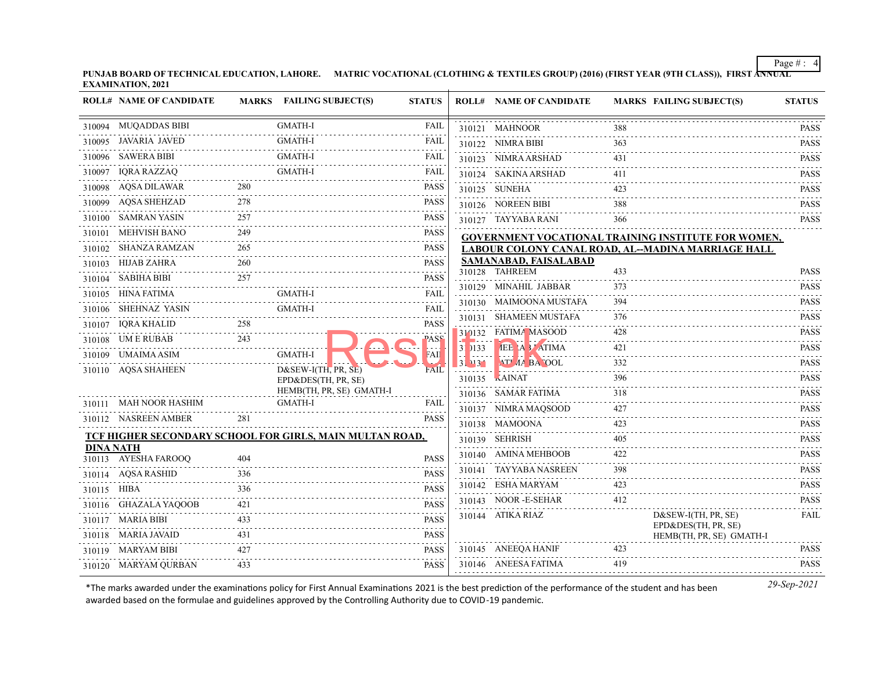**PUNJAB BOARD OF TECHNICAL EDUCATION, LAHORE. MATRIC VOCATIONAL (CLOTHING & TEXTILES GROUP) (2016) (FIRST YEAR (9TH CLASS)), FIRST ANNUAL EXAMINATION, 2021**

|                  | <b>ROLL# NAME OF CANDIDATE</b> |     | MARKS FAILING SUBJECT(S)                                 | <b>STATUS</b>    |         | <b>ROLL# NAME OF CANDIDATE</b>          |     | <b>MARKS FAILING SUBJECT(S)</b>                     | <b>STATUS</b>                                                       |
|------------------|--------------------------------|-----|----------------------------------------------------------|------------------|---------|-----------------------------------------|-----|-----------------------------------------------------|---------------------------------------------------------------------|
|                  | 310094 MUQADDAS BIBI           |     | <b>GMATH-I</b>                                           | <b>FAIL</b>      |         | 310121 MAHNOOR                          |     |                                                     | PASS                                                                |
|                  | 310095 JAVARIA JAVED           |     | GMATH-I                                                  | FAIL             |         | 310122 NIMRA BIBI                       | 363 |                                                     | <b>PASS</b>                                                         |
|                  | 310096 SAWERA BIBI             |     | <b>GMATH-I</b>                                           | FAIL             |         | 310123 NIMRA ARSHAD                     | 431 |                                                     | <b>PASS</b>                                                         |
| 310097           | <b>IORA RAZZAO</b>             |     | <b>GMATH-I</b>                                           | FAIL             |         | 310124 SAKINA ARSHAD                    | 411 |                                                     | $\sim$ $\sim$ $\sim$ $\sim$ $\sim$ $\sim$<br><b>PASS</b>            |
|                  | 310098 AQSA DILAWAR            | 280 |                                                          | PASS             |         | 310125 SUNEHA                           | 423 |                                                     | <b>PASS</b>                                                         |
|                  | 310099 AQSA SHEHZAD            | 278 |                                                          | <b>PASS</b>      |         | 310126 NOREEN BIBI                      | 388 |                                                     | <b>PASS</b>                                                         |
|                  | 310100 SAMRAN YASIN            | 257 |                                                          | <b>PASS</b>      |         | 310127 TAYYABA RANI                     | 366 |                                                     | $\omega$ is a second or $\omega$<br><b>PASS</b>                     |
| 310101           | MEHVISH BANO                   | 249 |                                                          | <b>PASS</b>      |         |                                         |     | GOVERNMENT VOCATIONAL TRAINING INSTITUTE FOR WOMEN, |                                                                     |
| 310102           | SHANZA RAMZAN                  | 265 |                                                          | <b>PASS</b>      |         |                                         |     | LABOUR COLONY CANAL ROAD, AL-MADINA MARRIAGE HALL   |                                                                     |
| 310103           | <b>HIJAB ZAHRA</b>             | 260 |                                                          | <b>PASS</b>      |         | SAMANABAD, FAISALABAD<br>310128 TAHREEM | 433 |                                                     | <b>PASS</b>                                                         |
|                  | 310104 SABIHA BIBI             | 257 |                                                          | <b>PASS</b>      |         | 310129 MINAHIL JABBAR                   | 373 |                                                     | <b>PASS</b>                                                         |
|                  | 310105 HINA FATIMA             |     | <b>GMATH-I</b>                                           | FAIL             | 310130  | <b>MAIMOONA MUSTAFA</b>                 | 394 |                                                     | <b>PASS</b>                                                         |
| 310106           | SHEHNAZ YASIN                  |     | <b>GMATH-I</b>                                           | FAIL             | 310131  | SHAMEEN MUSTAFA                         | 376 |                                                     | <b>PASS</b>                                                         |
| 310107           | IQRA KHALID                    | 258 |                                                          | <b>PASS</b>      |         | 310132 FATIMA MASOOD                    | 428 |                                                     | <b>PASS</b>                                                         |
|                  | 310108 UM E RUBAB              | 243 |                                                          | PASS             | 31 0133 | <b>IEE A 3 ATIMA</b>                    | 421 |                                                     | .<br><b>PASS</b>                                                    |
| 310109           | UMAIMA ASIM                    |     | <b>GMATH-I</b>                                           | FAII             | 31 431  | <b>AT' AA BA OOL</b>                    | 332 |                                                     | $\alpha$ , $\alpha$ , $\alpha$ , $\alpha$ , $\alpha$<br><b>PASS</b> |
|                  | 310110 AQSA SHAHEEN            |     | $D&SEW-I(TH, PR, SE)$                                    | FAIL             | 310135  | KAINAT                                  | 396 |                                                     | <b>PASS</b>                                                         |
|                  |                                |     | EPD&DES(TH, PR, SE)<br>HEMB(TH, PR, SE) GMATH-I          |                  |         | 310136 SAMAR FATIMA                     | 318 |                                                     | <b>PASS</b>                                                         |
|                  | 310111 MAH NOOR HASHIM         |     | <b>GMATH-I</b>                                           | FAIL             |         | 310137 NIMRA MAQSOOD                    | 427 |                                                     | <b>PASS</b>                                                         |
|                  | 310112 NASREEN AMBER           | 281 |                                                          | <b>PASS</b>      |         | 310138 MAMOONA                          | 423 |                                                     | <b>PASS</b>                                                         |
|                  |                                |     | TCF HIGHER SECONDARY SCHOOL FOR GIRLS, MAIN MULTAN ROAD, |                  |         | 310139 SEHRISH                          | 405 |                                                     | <b>PASS</b>                                                         |
| <b>DINA NATH</b> |                                |     |                                                          |                  |         | 310140 AMINA MEHBOOB                    | 422 |                                                     | <b>PASS</b>                                                         |
|                  | 310113 AYESHA FAROOQ           | 404 |                                                          | <b>PASS</b>      |         | 310141 TAYYABA NASREEN                  | 398 |                                                     | <b>PASS</b>                                                         |
|                  | 310114 AQSA RASHID             | 336 |                                                          | <b>PASS</b>      |         | 310142 ESHA MARYAM                      | 423 |                                                     | <b>PASS</b>                                                         |
| 310115 HIBA      |                                | 336 |                                                          | <b>PASS</b>      |         | 310143 NOOR-E-SEHAR                     | 412 |                                                     | .<br><b>PASS</b>                                                    |
|                  | 310116 GHAZALA YAQOOB          | 421 |                                                          | <b>PASS</b>      |         | 310144 ATIKA RIAZ                       |     | $D&SEW-I(TH, PR, SE)$                               | FAIL                                                                |
|                  | 310117 MARIA BIBI              | 433 |                                                          | <b>PASS</b><br>. |         |                                         |     | EPD&DES(TH, PR, SE)                                 |                                                                     |
|                  | 310118 MARIA JAVAID            | 431 |                                                          | <b>PASS</b>      |         |                                         |     | HEMB(TH, PR, SE) GMATH-I                            |                                                                     |
|                  | 310119 MARYAM BIBI             | 427 |                                                          | <b>PASS</b>      |         | 310145 ANEEQA HANIF                     | 423 |                                                     | <b>PASS</b>                                                         |
|                  | 310120 MARYAM QURBAN           | 433 |                                                          | <b>PASS</b>      |         | 310146 ANEESA FATIMA                    | 419 |                                                     | <b>PASS</b>                                                         |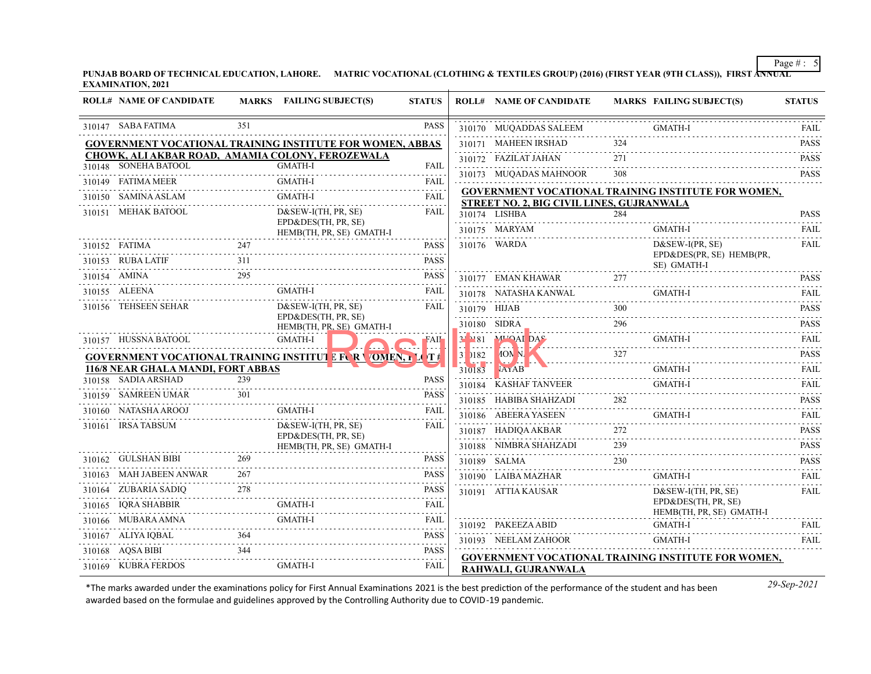**PUNJAB BOARD OF TECHNICAL EDUCATION, LAHORE. MATRIC VOCATIONAL (CLOTHING & TEXTILES GROUP) (2016) (FIRST YEAR (9TH CLASS)), FIRST ANNUAL EXAMINATION, 2021**

| <b>ROLL# NAME OF CANDIDATE</b>     |                            | MARKS FAILING SUBJECT(S)                                                               | <b>STATUS</b> |                   | <b>ROLL# NAME OF CANDIDATE</b>            |     | <b>MARKS FAILING SUBJECT(S)</b>                            | <b>STATUS</b>                   |
|------------------------------------|----------------------------|----------------------------------------------------------------------------------------|---------------|-------------------|-------------------------------------------|-----|------------------------------------------------------------|---------------------------------|
| 310147 SABA FATIMA                 | 351                        |                                                                                        | <b>PASS</b>   |                   | 310170 MUQADDAS SALEEM                    |     | <b>GMATH-I</b>                                             | <b>FAIL</b>                     |
|                                    |                            | <b>GOVERNMENT VOCATIONAL TRAINING INSTITUTE FOR WOMEN, ABBAS</b>                       |               |                   | 310171 MAHEEN IRSHAD                      | 324 |                                                            | <b>PASS</b>                     |
|                                    |                            | CHOWK, ALI AKBAR ROAD, AMAMIA COLONY, FEROZEWALA                                       |               |                   | 310172 FAZILAT JAHAN                      | 271 |                                                            | <b>PASS</b>                     |
| 310148 SONEHA BATOOL               |                            | GMATH-I                                                                                | FAIL<br>.     |                   | 310173 MUQADAS MAHNOOR                    |     |                                                            | .<br><b>PASS</b>                |
| 310149 FATIMA MEER                 |                            | <b>GMATH-I</b>                                                                         | <b>FAIL</b>   |                   |                                           |     | <b>GOVERNMENT VOCATIONAL TRAINING INSTITUTE FOR WOMEN,</b> |                                 |
| 310150 SAMINA ASLAM                |                            | <b>GMATH-I</b>                                                                         | <b>FAIL</b>   |                   | STREET NO. 2, BIG CIVIL LINES, GUJRANWALA |     |                                                            |                                 |
| 310151 MEHAK BATOOL                |                            | $D&SEW-I(TH, PR, SE)$<br>EPD&DES(TH, PR, SE)                                           | FAIL          |                   | 310174 LISHBA                             | 284 |                                                            | <b>PASS</b>                     |
|                                    |                            | HEMB(TH, PR, SE) GMATH-I                                                               |               |                   | 310175 MARYAM                             |     | <b>GMATH-I</b>                                             | <b>FAIL</b>                     |
| 310152 FATIMA                      | 247                        |                                                                                        | <b>PASS</b>   |                   | 310176 WARDA                              |     | $D&SEW-I(PR, SE)$                                          | <b>FAIL</b>                     |
| 310153 RUBA LATIF                  | 311                        |                                                                                        | <b>PASS</b>   |                   |                                           |     | EPD&DES(PR, SE) HEMB(PR,<br>SE) GMATH-I                    |                                 |
| 310154 AMINA                       |                            |                                                                                        | <b>PASS</b>   |                   | 310177 EMAN KHAWAR                        | 277 |                                                            | <b>PASS</b>                     |
| 310155 ALEENA                      |                            | GMATH-I                                                                                | FAIL          |                   | 310178 NATASHA KANWAL                     |     | <b>GMATH-I</b>                                             | FAIL                            |
| 310156 TEHSEEN SEHAR               |                            | $D&SEW-I(TH, PR, SE)$                                                                  | FAIL          |                   | 310179 HIJAB                              | 300 |                                                            | <b>PASS</b>                     |
|                                    |                            | EPD&DES(TH, PR, SE)<br>HEMB(TH, PR SE) GMATH-I                                         |               |                   | 310180 SIDRA                              |     |                                                            | <b>PASS</b>                     |
| 310157 HUSSNA BATOOL               |                            | GMATH-I                                                                                | FAII          | 31181             | VISU SIDRA<br>N81 MUQAI DAS<br>MHOAI DAS  |     |                                                            | <b>FAIL</b>                     |
|                                    |                            | $\blacksquare$<br><b>GOVERNMENT VOCATIONAL TRAINING INSTITUT &amp; FUR VOMEN, LUTE</b> |               | <b>Film</b> and a | $31\,$ $182$ $10N$ N.                     | 327 |                                                            | <b>PASS</b>                     |
| 116/8 NEAR GHALA MANDI, FORT ABBAS |                            |                                                                                        |               | 310183            | <b>JAYAB</b>                              |     | GMATH-I                                                    | FAIL                            |
| 310158 SADIA ARSHAD                | 239                        |                                                                                        | <b>PASS</b>   |                   | 310184 KASHAF TANVEER                     |     | <b>GMATH-I</b>                                             | <b>FAIL</b>                     |
| 310159 SAMREEN UMAR                | 301                        |                                                                                        | <b>PASS</b>   |                   | 310185 HABIBA SHAHZADI                    | 282 |                                                            | <b>PASS</b>                     |
| 310160 NATASHA AROOJ               |                            | <b>GMATH-I</b>                                                                         | FAIL          |                   | 310186 ABEERA YASEEN                      |     | GMATH-I                                                    | <b>FAIL</b>                     |
| 310161 IRSA TABSUM                 |                            | $D&SEW-I(TH, PR, SE)$                                                                  | FAIL          |                   | 310187 HADIQA AKBAR                       | 272 |                                                            | <b>PASS</b>                     |
|                                    |                            | EPD&DES(TH, PR, SE)<br>HEMB(TH, PR, SE) GMATH-I                                        |               |                   | 310188 NIMBRA SHAHZADI                    | 239 |                                                            | <b>PASS</b>                     |
| 310162 GULSHAN BIBI                | 269                        |                                                                                        | <b>PASS</b>   |                   | 310189 SALMA<br>SALMA 230                 | 230 |                                                            | <b>PASS</b>                     |
| 310163 MAH JABEEN ANWAR            | 267                        |                                                                                        | <b>PASS</b>   |                   | 310190 LAIBA MAZHAR                       |     | <b>GMATH-I</b>                                             | $-1 - 1 - 1 - 1$<br><b>FAIL</b> |
| 310164 ZUBARIA SADIQ               | 278                        |                                                                                        | <b>PASS</b>   |                   | 310191 ATTIA KAUSAR                       |     | $D&SEW-I(TH, PR, SE)$                                      | FAIL                            |
| 310165 IQRA SHABBIR                | 、<br>--------------------- | <b>GMATH-I</b>                                                                         | <b>FAIL</b>   |                   |                                           |     | EPD&DES(TH, PR, SE)<br>HEMB(TH, PR, SE) GMATH-I            |                                 |
| 310166 MUBARA AMNA                 |                            | GMATH-I                                                                                | FAIL          |                   | 310192 PAKEEZA ABID                       |     | GMATH-I                                                    | FAIL                            |
| 310167 ALIYA IQBAL                 | 364                        |                                                                                        | <b>PASS</b>   |                   | 310193 NEELAM ZAHOOR                      |     | <b>GMATH-I</b>                                             | <b>FAIL</b>                     |
| 310168 AQSA BIBI                   | 344                        |                                                                                        | <b>PASS</b>   |                   |                                           |     | <b>GOVERNMENT VOCATIONAL TRAINING INSTITUTE FOR WOMEN,</b> |                                 |
| 310169 KUBRA FERDOS                |                            | GMATH-I                                                                                | FAIL          |                   | RAHWALI, GUJRANWALA                       |     |                                                            |                                 |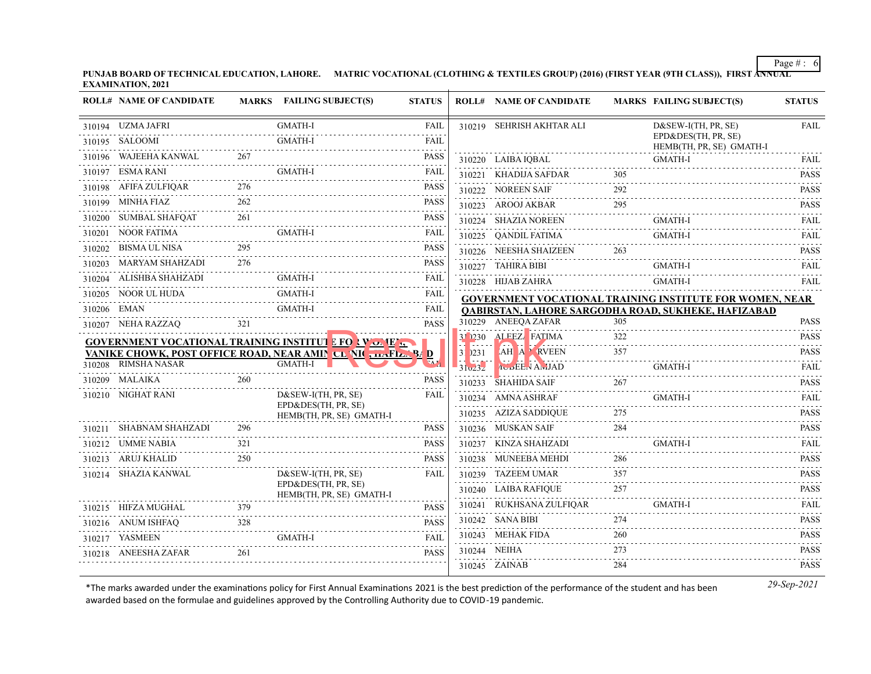**PUNJAB BOARD OF TECHNICAL EDUCATION, LAHORE. MATRIC VOCATIONAL (CLOTHING & TEXTILES GROUP) (2016) (FIRST YEAR (9TH CLASS)), FIRST ANNUAL EXAMINATION, 2021**

|             | <b>ROLL# NAME OF CANDIDATE</b> |     | <b>MARKS</b> FAILING SUBJECT(S)                              | <b>STATUS</b>            |             | <b>ROLL# NAME OF CANDIDATE</b> |     | <b>MARKS FAILING SUBJECT(S)</b>                                 | <b>STATUS</b>                                            |
|-------------|--------------------------------|-----|--------------------------------------------------------------|--------------------------|-------------|--------------------------------|-----|-----------------------------------------------------------------|----------------------------------------------------------|
|             | 310194 UZMA JAFRI              |     | <b>GMATH-I</b>                                               | <b>FAIL</b>              |             | 310219 SEHRISH AKHTAR ALI      |     | D&SEW-I(TH, PR, SE)                                             | <b>FAIL</b>                                              |
|             | 310195 SALOOMI                 |     | <b>GMATH-I</b>                                               | <b>FAIL</b>              |             |                                |     | EPD&DES(TH, PR, SE)<br>HEMB(TH, PR, SE) GMATH-I                 |                                                          |
|             | 310196 WAJEEHA KANWAL          | 267 |                                                              | <b>PASS</b>              |             | 310220 LAIBA IQBAL             |     | <b>GMATH-I</b>                                                  | <b>FAIL</b>                                              |
|             | 310197 ESMA RANI               |     | <b>GMATH-I</b>                                               | <b>FAIL</b>              |             | 310221 KHADIJA SAFDAR          | 305 |                                                                 | and a control<br><b>PASS</b>                             |
|             | 310198 AFIFA ZULFIQAR          |     |                                                              | <b>PASS</b>              |             | 310222 NOREEN SAIF             | 292 |                                                                 | <b>PASS</b>                                              |
|             | 310199 MINHA FIAZ              | 262 |                                                              | <b>PASS</b>              |             | 310223 AROOJ AKBAR             | 295 |                                                                 | .<br><b>PASS</b>                                         |
|             | 310200 SUMBAL SHAFQAT          | 261 |                                                              | <b>PASS</b>              |             | .<br>310224 SHAZIA NOREEN      |     | <b>GMATH-I</b>                                                  | $- - - - -$<br><b>FAIL</b>                               |
|             | 310201 NOOR FATIMA             |     | <b>GMATH-I</b>                                               | <b>FAIL</b>              |             | 310225 QANDIL FATIMA           |     | <b>GMATH-I</b>                                                  | <b>FAIL</b>                                              |
|             | 310202 BISMA UL NISA           |     |                                                              | <b>PASS</b>              |             | 310226 NEESHA SHAIZEEN         | 263 |                                                                 | .<br><b>PASS</b>                                         |
|             | 310203 MARYAM SHAHZADI         | 276 |                                                              | <b>PASS</b>              |             | 310227 TAHIRA BIBI             |     | <b>GMATH-I</b>                                                  | FAIL                                                     |
|             | 310204 ALISHBA SHAHZADI        |     | GMATH-I                                                      | <b>FAIL</b>              |             | 310228 HIJAB ZAHRA             |     | <b>GMATH-I</b>                                                  | FAIL                                                     |
|             | 310205 NOOR UL HUDA            |     | <b>GMATH-I</b>                                               | FAIL<br>$-1 - 1 - 1 - 1$ |             |                                |     | <b>GOVERNMENT VOCATIONAL TRAINING INSTITUTE FOR WOMEN, NEAR</b> |                                                          |
| 310206 EMAN |                                |     | <b>GMATH-I</b>                                               | <b>FAIL</b>              |             |                                |     | QABIRSTAN, LAHORE SARGODHA ROAD, SUKHEKE, HAFIZABAD             |                                                          |
|             | 310207 NEHA RAZZAO             | 321 |                                                              | <b>PASS</b>              |             | 310229 ANEEQA ZAFAR            | 305 |                                                                 | <b>PASS</b>                                              |
|             |                                |     | <b>GOVERNMENT VOCATIONAL TRAINING INSTITUT L FOR VOLUE </b>  |                          |             | 31 230 ALEEZ FATIMA            | 322 |                                                                 | <b>PASS</b><br>.                                         |
|             |                                |     | VANIKE CHOWK, POST OFFICE ROAD, NEAR AMIN CL VII ,  FL. 94 D |                          | $31$ $)231$ | <b>AH A RVEEN</b>              | 357 |                                                                 | <b>PASS</b><br>.                                         |
|             | 310208 RIMSHA NASAR            |     | <b>GMATH-I</b>                                               |                          | 31v23z      | <b>IUBEEN ANJAD</b>            |     | GMATH-I                                                         | <b>FAIL</b>                                              |
|             | 310209 MALAIKA                 | 260 |                                                              | <b>PASS</b>              |             | 310233 SHAHIDA SAIF            | 267 |                                                                 | <b>PASS</b><br>$\sim$ $\sim$ $\sim$ $\sim$ $\sim$ $\sim$ |
|             | 310210 NIGHAT RANI             |     | $D&SEW-I(TH, PR, SE)$<br>EPD&DES(TH, PR, SE)                 | <b>FAIL</b>              |             | 310234 AMNA ASHRAF             |     | <b>GMATH-I</b>                                                  | <b>FAIL</b>                                              |
|             |                                |     | HEMB(TH, PR, SE) GMATH-I                                     |                          |             | 310235 AZIZA SADDIQUE          | 275 |                                                                 | <b>PASS</b>                                              |
|             | 310211 SHABNAM SHAHZADI        | 296 |                                                              | <b>PASS</b>              |             | 310236 MUSKAN SAIF             | 284 |                                                                 | <b>PASS</b>                                              |
|             | 310212 UMME NABIA              | 321 |                                                              | <b>PASS</b>              |             | 310237 KINZA SHAHZADI          |     | <b>GMATH-I</b>                                                  | <b>FAIL</b>                                              |
|             | 310213 ARUJ KHALID             | 250 |                                                              | <b>PASS</b>              |             | 310238 MUNEEBA MEHDI           | 286 |                                                                 | <b>PASS</b><br>.                                         |
|             | 310214 SHAZIA KANWAL           |     | $D&SEW-I(TH, PR, SE)$                                        | <b>FAIL</b>              |             | 310239 TAZEEM UMAR             | 357 |                                                                 | <b>PASS</b>                                              |
|             |                                |     | EPD&DES(TH, PR, SE)<br>HEMB(TH, PR, SE) GMATH-I              |                          |             | 310240 LAIBA RAFIQUE           | 257 |                                                                 | <b>PASS</b><br>.                                         |
|             | 310215 HIFZA MUGHAL            | 379 |                                                              | <b>PASS</b>              |             | 310241 RUKHSANA ZULFIQAR       |     | GMATH-I                                                         | <b>FAIL</b>                                              |
|             | 310216 ANUM ISHFAQ             | 328 |                                                              | <b>PASS</b>              |             | 310242 SANA BIBI               | 274 |                                                                 | <b>PASS</b>                                              |
|             | 310217 YASMEEN                 |     | <b>GMATH-I</b>                                               | FAIL                     |             | 310243 MEHAK FIDA              | 260 |                                                                 | <b>PASS</b>                                              |
|             | 310218 ANEESHA ZAFAR           | 261 |                                                              | <b>PASS</b>              |             | 310244 NEIHA                   | 273 |                                                                 | <b>PASS</b>                                              |
|             |                                |     |                                                              |                          |             | 310245 ZAINAB                  | 284 |                                                                 | PASS                                                     |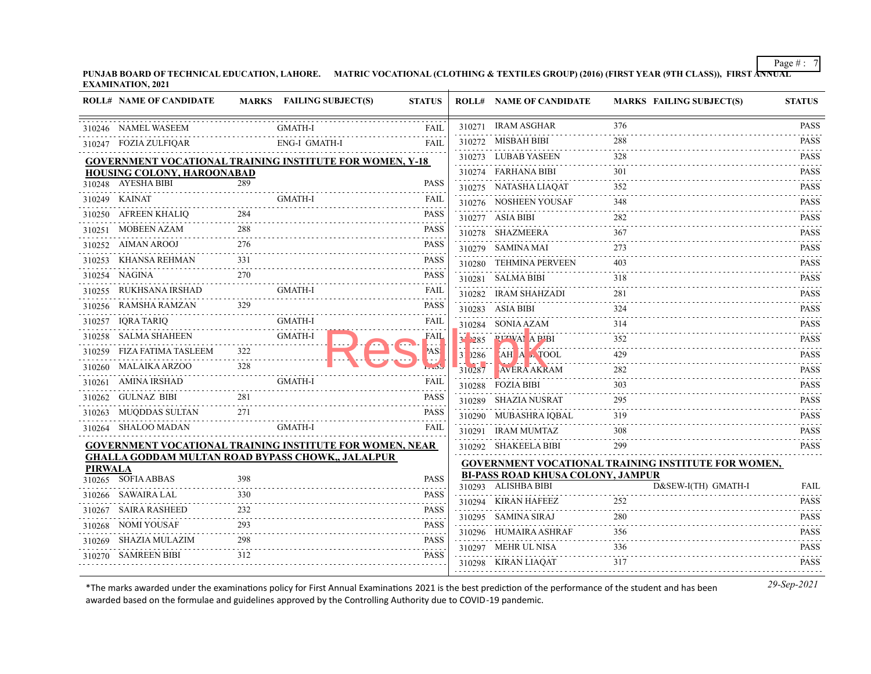**PUNJAB BOARD OF TECHNICAL EDUCATION, LAHORE. MATRIC VOCATIONAL (CLOTHING & TEXTILES GROUP) (2016) (FIRST YEAR (9TH CLASS)), FIRST ANNUAL EXAMINATION, 2021**

|                | <b>ROLL# NAME OF CANDIDATE</b>                                  |     | MARKS FAILING SUBJECT(S) | <b>STATUS</b> |                     | <b>ROLL# NAME OF CANDIDATE</b>                                                      | <b>MARKS FAILING SUBJECT(S)</b>                            | <b>STATUS</b>              |
|----------------|-----------------------------------------------------------------|-----|--------------------------|---------------|---------------------|-------------------------------------------------------------------------------------|------------------------------------------------------------|----------------------------|
|                | 310246 NAMEL WASEEM                                             |     | GMATH-I                  | <b>FAIL</b>   |                     | 310271 IRAM ASGHAR                                                                  | 376                                                        | <b>PASS</b>                |
|                | 310247 FOZIA ZULFIQAR                                           |     | ENG-I GMATH-I            | <b>FAII</b>   |                     | 310272 MISBAH BIBI                                                                  | 288                                                        | <b>PASS</b>                |
|                | <b>GOVERNMENT VOCATIONAL TRAINING INSTITUTE FOR WOMEN, Y-18</b> |     |                          |               |                     | 310273 LUBAB YASEEN                                                                 | 328                                                        | <b>PASS</b>                |
|                | <b>HOUSING COLONY, HAROONABAD</b>                               |     |                          |               |                     | 310274 FARHANA BIBI                                                                 | 301                                                        | <b>PASS</b>                |
|                | 310248 AYESHA BIBI                                              | 289 |                          | <b>PASS</b>   |                     | 310275 NATASHA LIAQAT                                                               | 352                                                        | <b>PASS</b>                |
|                | 310249 KAINAT                                                   |     | <b>GMATH-I</b>           | FAIL          |                     | 310276 NOSHEEN YOUSAF                                                               | 348                                                        | <b>PASS</b>                |
|                | 310250 AFREEN KHALIQ                                            |     |                          | <b>PASS</b>   |                     | 310277 ASIA BIBI                                                                    | 282                                                        | .<br><b>PASS</b>           |
|                | 310251 MOBEEN AZAM                                              | 288 |                          | <b>PASS</b>   |                     | 310278 SHAZMEERA                                                                    | 367                                                        | <b>PASS</b>                |
|                | 310252 AIMAN AROOJ                                              | 276 |                          | <b>PASS</b>   |                     | 310279 SAMINA MAI                                                                   | 273                                                        | <b>PASS</b>                |
|                | 310253 KHANSA REHMAN                                            | 331 |                          | <b>PASS</b>   |                     | 310280 TEHMINA PERVEEN                                                              | 403                                                        | <b>PASS</b>                |
|                | 310254 NAGINA                                                   | 270 |                          | <b>PASS</b>   |                     | 310281 SALMA BIBI                                                                   | 318                                                        | <b>PASS</b>                |
|                | 310255 RUKHSANA IRSHAD                                          |     | <b>GMATH-I</b>           | <b>FAIL</b>   |                     | 310282 IRAM SHAHZADI                                                                | 281                                                        | <b>PASS</b>                |
|                | 310256 RAMSHA RAMZAN                                            | 329 |                          | PASS          |                     | 310283 ASIA BIBI                                                                    | 324                                                        | د د د د د د<br><b>PASS</b> |
|                | 310257 IQRA TARIQ                                               |     | <b>GMATH-I</b>           | FAIL          |                     | 310284 SONIA AZAM                                                                   | 314                                                        | <b>PASS</b>                |
|                | 310258 SALMA SHAHEEN                                            |     | <b>GMATH-I</b>           | FAIL          | 211285              | <b>PIZWAI A PIBI</b>                                                                | 352                                                        | <b>PASS</b>                |
|                | 310259 FIZA FATIMA TASLEEM                                      | 322 |                          | 'AS!          | 12 a a a<br>31 0286 | <b>TAH A A TOOL</b>                                                                 | 429                                                        | 2.2.2.2.2.1<br><b>PASS</b> |
|                | 310260 MALAIKA ARZOO                                            |     |                          |               | 310287              | $\mathcal{L}$ , $\mathcal{L}$ , $\mathcal{L}$ , $\mathcal{L}$<br><b>AVERA AKRAM</b> | 282                                                        | <b>PASS</b>                |
|                | 310261 AMINA IRSHAD                                             |     | <b>GMATH-I</b>           | FAIL          |                     | 310288 FOZIA BIBI                                                                   | 303                                                        | <b>PASS</b>                |
|                | 310262 GULNAZ BIBI                                              | 281 |                          | <b>PASS</b>   |                     | 310289 SHAZIA NUSRAT                                                                | 295                                                        | <b>PASS</b>                |
|                | 310263 MUQDDAS SULTAN                                           | 271 |                          | <b>PASS</b>   |                     | 310290 MUBASHRA IQBAL                                                               | 319                                                        | <b>PASS</b>                |
|                | 310264 SHALOO MADAN                                             |     | GMATH-I                  | FAIL          |                     | 310291 IRAM MUMTAZ                                                                  | 308                                                        | <b>PASS</b>                |
|                | <b>GOVERNMENT VOCATIONAL TRAINING INSTITUTE FOR WOMEN, NEAR</b> |     |                          |               |                     | 310292 SHAKEELA BIBI                                                                | 299                                                        | <b>PASS</b>                |
|                | <b>GHALLA GODDAM MULTAN ROAD BYPASS CHOWK,, JALALPUR</b>        |     |                          |               |                     |                                                                                     | <b>GOVERNMENT VOCATIONAL TRAINING INSTITUTE FOR WOMEN,</b> |                            |
| <b>PIRWALA</b> | 310265 SOFIA ABBAS                                              | 398 |                          | <b>PASS</b>   |                     | <b>BI-PASS ROAD KHUSA COLONY, JAMPUR</b>                                            |                                                            |                            |
|                | 310266 SAWAIRA LAL                                              | 330 |                          | <b>PASS</b>   |                     | 310293 ALISHBA BIBI                                                                 | D&SEW-I(TH) GMATH-I                                        | <b>FAIL</b>                |
|                | 310267 SAIRA RASHEED                                            |     |                          | <b>PASS</b>   |                     | 310294 KIRAN HAFEEZ                                                                 | 252                                                        | <b>PASS</b><br>2.2.2.2.2.  |
|                | 310268 NOMI YOUSAF                                              |     |                          | <b>PASS</b>   |                     | 310295 SAMINA SIRAJ                                                                 | 280                                                        | <b>PASS</b>                |
|                | 310269 SHAZIA MULAZIM                                           | 298 |                          | <b>PASS</b>   |                     | 310296 HUMAIRA ASHRAF                                                               | 356                                                        | <b>PASS</b>                |
|                | 310270 SAMREEN BIBI                                             | 312 |                          | <b>PASS</b>   |                     | 310297 MEHR UL NISA                                                                 | 336                                                        | <b>PASS</b>                |
|                |                                                                 |     |                          |               |                     | 310298 KIRAN LIAQAT                                                                 | 317                                                        | <b>PASS</b>                |
|                |                                                                 |     |                          |               |                     |                                                                                     |                                                            |                            |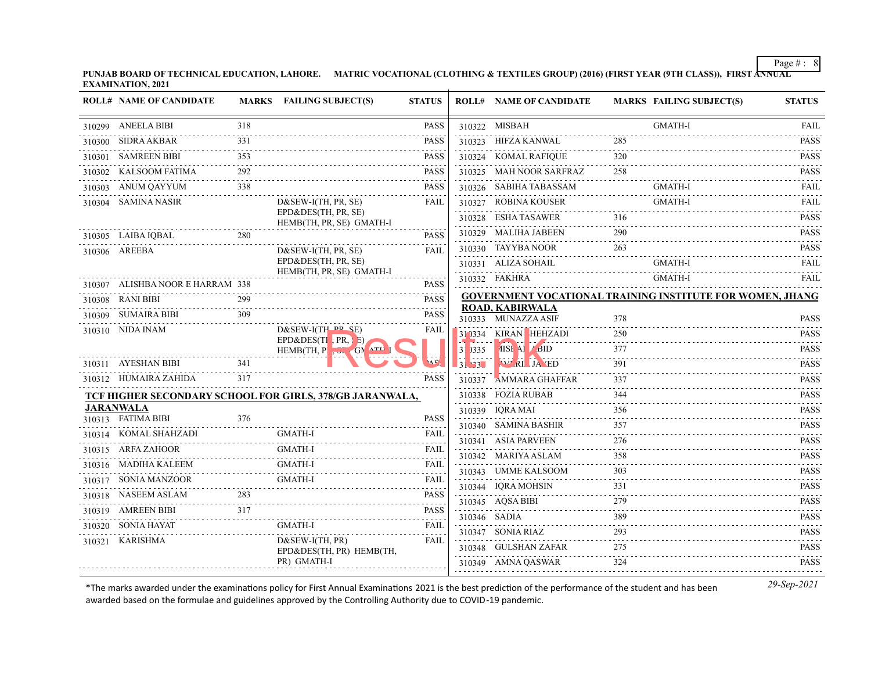**PUNJAB BOARD OF TECHNICAL EDUCATION, LAHORE. MATRIC VOCATIONAL (CLOTHING & TEXTILES GROUP) (2016) (FIRST YEAR (9TH CLASS)), FIRST ANNUAL EXAMINATION, 2021**

| <b>GMATH-I</b><br>310299 ANEELA BIBI<br>318<br><b>PASS</b><br>310322 MISBAH<br>310323 HIFZA KANWAL<br>285<br>310300 SIDRA AKBAR<br>331<br><b>PASS</b><br>310301 SAMREEN BIBI<br>353<br>310324 KOMAL RAFIQUE<br>320<br><b>PASS</b><br>310302 KALSOOM FATIMA<br>292<br>310325 MAH NOOR SARFRAZ<br>258 | <b>FAIL</b><br><b>PASS</b><br><b>PASS</b><br><b>PASS</b><br><b>FAIL</b> |
|-----------------------------------------------------------------------------------------------------------------------------------------------------------------------------------------------------------------------------------------------------------------------------------------------------|-------------------------------------------------------------------------|
|                                                                                                                                                                                                                                                                                                     |                                                                         |
|                                                                                                                                                                                                                                                                                                     |                                                                         |
|                                                                                                                                                                                                                                                                                                     |                                                                         |
| <b>PASS</b>                                                                                                                                                                                                                                                                                         |                                                                         |
| 338<br>310326 SABIHA TABASSAM<br><b>GMATH-I</b><br>310303 ANUM QAYYUM<br><b>PASS</b>                                                                                                                                                                                                                |                                                                         |
| <b>GMATH-I</b><br>310327 ROBINA KOUSER<br>310304 SAMINA NASIR<br>$D&SEW-I(TH, PR, SE)$<br><b>FAIL</b>                                                                                                                                                                                               | FAIL                                                                    |
| EPD&DES(TH, PR, SE)<br>310328 ESHA TASAWER<br>316<br>HEMB(TH, PR, SE) GMATH-I                                                                                                                                                                                                                       | <b>PASS</b><br>$- - - - - -$                                            |
| 290<br>310329 MALIHA JABEEN<br>280<br>310305 LAIBA IQBAL<br><b>PASS</b>                                                                                                                                                                                                                             | <b>PASS</b>                                                             |
| 310330 TAYYBA NOOR<br>263<br>FAII.<br>310306 AREEBA<br>$D&SEW-I(TH, PR, SE)$                                                                                                                                                                                                                        | <b>PASS</b>                                                             |
| EPD&DES(TH, PR, SE)<br><b>GMATH-I</b><br>310331 ALIZA SOHAIL<br>HEMB(TH, PR, SE) GMATH-I                                                                                                                                                                                                            | FAIL                                                                    |
| <b>GMATH-I</b><br>310332 FAKHRA<br>310307 ALISHBA NOOR E HARRAM 338<br><b>PASS</b>                                                                                                                                                                                                                  | <b>FAIL</b>                                                             |
| <b>GOVERNMENT VOCATIONAL TRAINING INSTITUTE FOR WOMEN, JHANG</b><br>310308 RANI BIBI<br>299<br><b>PASS</b>                                                                                                                                                                                          |                                                                         |
| <b>ROAD, KABIRWALA</b><br>309<br>310309 SUMAIRA BIBI<br><b>PASS</b><br>310333 MUNAZZA ASIF<br>378                                                                                                                                                                                                   | <b>PASS</b>                                                             |
| $D&SEW-I(TH \rightarrow P, SE)$<br>310310 NIDA INAM<br>FAIL<br>310334 KIRAN HEHZADI<br>250                                                                                                                                                                                                          | <b>PASS</b>                                                             |
| EPD&DES(TI $PR$ , E)<br>AISE AL BID<br>377<br>)335<br>HEMB(TH, Pl , $\Delta$ + GN $^{\text{ATL}}$ ]                                                                                                                                                                                                 | $-1 - 1 - 1 - 1$<br><b>PASS</b><br>.                                    |
| 310311 AYESHAN BIBI<br>341<br><b>WAI JA ED</b><br>391<br>3133                                                                                                                                                                                                                                       | <b>PASS</b>                                                             |
| 310312 HUMAIRA ZAHIDA<br>317<br><b>PASS</b><br>AMMARA GHAFFAR<br>337<br>310337                                                                                                                                                                                                                      | <b>PASS</b><br>.                                                        |
| 310338 FOZIA RUBAB<br>344<br>TCF HIGHER SECONDARY SCHOOL FOR GIRLS, 378/GB JARANWALA,                                                                                                                                                                                                               | <b>PASS</b>                                                             |
| <b>JARANWALA</b><br>310339 IORA MAI<br>356<br>376<br><b>PASS</b>                                                                                                                                                                                                                                    | <b>PASS</b>                                                             |
| 310313 FATIMA BIBI<br>310340 SAMINA BASHIR<br>357                                                                                                                                                                                                                                                   | <b>PASS</b><br>$\alpha$ is a second order                               |
| 310314 KOMAL SHAHZADI<br><b>GMATH-I</b><br>FAIL<br>276<br>310341 ASIA PARVEEN<br><b>GMATH-I</b>                                                                                                                                                                                                     | <b>PASS</b>                                                             |
| 310315 ARFA ZAHOOR<br>FAIL<br>310342 MARIYA ASLAM<br>358                                                                                                                                                                                                                                            | <b>PASS</b>                                                             |
| 310316 MADIHA KALEEM<br><b>GMATH-I</b><br>FAIL<br>310343 UMME KALSOOM<br>303<br><b>GMATH-I</b>                                                                                                                                                                                                      | <b>PASS</b>                                                             |
| 310317 SONIA MANZOOR<br>FAIL<br>310344 IQRA MOHSIN<br>331<br>283                                                                                                                                                                                                                                    | <b>PASS</b><br>.                                                        |
| 310318 NASEEM ASLAM<br><b>PASS</b><br>310345 AQSA BIBI<br>279<br>317                                                                                                                                                                                                                                | <b>PASS</b><br>.                                                        |
| 310319 AMREEN BIBI<br><b>PASS</b><br>389<br>310346 SADIA<br>310320 SONIA HAYAT<br><b>GMATH-I</b><br><b>FAIL</b>                                                                                                                                                                                     | <b>PASS</b>                                                             |
| 293<br>310347 SONIA RIAZ<br>310321 KARISHMA<br>$D&SEW-I(TH, PR)$                                                                                                                                                                                                                                    | <b>PASS</b><br>.                                                        |
| FAIL<br>310348 GULSHAN ZAFAR<br>275<br>EPD&DES(TH, PR) HEMB(TH,                                                                                                                                                                                                                                     | <b>PASS</b><br>.                                                        |
| PR) GMATH-I<br>310349 AMNA QASWAR<br>324                                                                                                                                                                                                                                                            | <b>PASS</b>                                                             |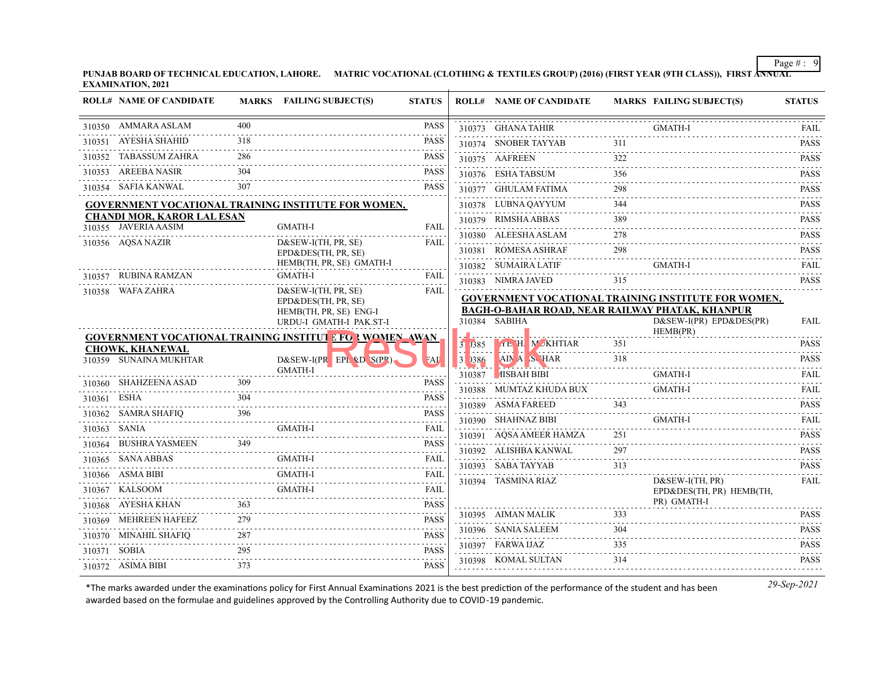**PUNJAB BOARD OF TECHNICAL EDUCATION, LAHORE. MATRIC VOCATIONAL (CLOTHING & TEXTILES GROUP) (2016) (FIRST YEAR (9TH CLASS)), FIRST ANNUAL EXAMINATION, 2021**

|             | <b>ROLL# NAME OF CANDIDATE</b>                    |     | <b>MARKS</b> FAILING SUBJECT(S)                                                        | <b>STATUS</b>              |             | <b>ROLL# NAME OF CANDIDATE</b>                                          |          | MARKS FAILING SUBJECT(S)                                   | <b>STATUS</b>                       |
|-------------|---------------------------------------------------|-----|----------------------------------------------------------------------------------------|----------------------------|-------------|-------------------------------------------------------------------------|----------|------------------------------------------------------------|-------------------------------------|
|             | 310350 AMMARA ASLAM                               | 400 |                                                                                        | PASS                       |             | 310373 GHANA TAHIR                                                      |          | <b>GMATH-I</b>                                             | FAIL                                |
|             | 310351 AYESHA SHAHID                              | 318 |                                                                                        | <b>PASS</b>                |             | 310374 SNOBER TAYYAB                                                    | 311      |                                                            | <b>PASS</b>                         |
|             | 310352 TABASSUM ZAHRA                             | 286 |                                                                                        | <b>PASS</b>                |             | 310375 AAFREEN                                                          |          |                                                            | <b>PASS</b>                         |
|             | 310353 AREEBA NASIR                               | 304 |                                                                                        | <b>PASS</b>                |             | 310376 ESHA TABSUM                                                      | 356      |                                                            | .<br><b>PASS</b>                    |
|             | 310354 SAFIA KANWAL                               | 307 |                                                                                        | <b>PASS</b>                |             | 310377 GHULAM FATIMA                                                    | 298      |                                                            | <b>PASS</b>                         |
|             |                                                   |     | <b>GOVERNMENT VOCATIONAL TRAINING INSTITUTE FOR WOMEN,</b>                             |                            |             | 310378 LUBNA QAYYUM                                                     | 344      |                                                            | <b>PASS</b>                         |
|             | <b>CHANDI MOR, KAROR LAL ESAN</b>                 |     | GMATH-I                                                                                | <b>FAIL</b>                |             | 310379 RIMSHA ABBAS                                                     | 389      |                                                            | .<br><b>PASS</b>                    |
|             | 310355 JAVERIA AASIM<br>310356 AQSA NAZIR         |     | D&SEW-I(TH, PR, SE)                                                                    |                            |             | 310380 ALEESHA ASLAM                                                    | 278      |                                                            | <b>PASS</b>                         |
|             |                                                   |     | EPD&DES(TH, PR, SE)                                                                    | FAIL                       |             | 310381 ROMESA ASHRAF                                                    | 298      |                                                            | <b>PASS</b>                         |
|             |                                                   |     | HEMB(TH, PR, SE) GMATH-I                                                               |                            |             | 310382 SUMAIRA LATIF                                                    |          | GMATH-I                                                    | <b>FAIL</b>                         |
|             | 310357 RUBINA RAMZAN                              |     | <b>GMATH-I</b>                                                                         | FAIL                       |             | 310383 NIMRA JAVED                                                      | 315      |                                                            | <b>PASS</b>                         |
|             | 310358 WAFA ZAHRA                                 |     | D&SEW-I(TH, PR, SE)<br>EPD&DES(TH, PR, SE)                                             | FAIL                       |             |                                                                         |          | <b>GOVERNMENT VOCATIONAL TRAINING INSTITUTE FOR WOMEN,</b> |                                     |
|             |                                                   |     | HEMB(TH, PR, SE) ENG-I                                                                 |                            |             | <b>BAGH-O-BAHAR ROAD, NEAR RAILWAY PHATAK, KHANPUR</b><br>310384 SABIHA |          | $D&SEW-I(PR) EPD&DES(PR)$                                  | <b>FAIL</b>                         |
|             |                                                   |     | URDU-I GMATH-I PAK.ST-I                                                                |                            |             |                                                                         |          | HEMB(PR)                                                   |                                     |
|             | <b>CHOWK, KHANEWAL</b>                            |     | <b>GOVERNMENT VOCATIONAL TRAINING INSTITUT E FOR WOMEN AWAN</b>                        |                            | 31,385      |                                                                         |          |                                                            | <b>PASS</b><br>$\omega$ is a single |
|             | 310359 SUNAINA MUKHTAR                            |     | $D&SEW-I(PR$ $EPL$ $QD$ $S(P')$                                                        | <b>FAL</b>                 | $31$ $)386$ |                                                                         |          | TE H MUKHTIAR 351                                          | <b>PASS</b>                         |
|             | 310360 SHAHZEENA ASAD                             | 309 | GMATH-I                                                                                | <b>PASS</b>                |             | 310387 MSBAH BIBI                                                       |          | <b>GMATH-I</b>                                             | <b>FAIL</b>                         |
|             | HZEENA ASAD<br>---------------------              | 304 |                                                                                        | <b>PASS</b>                |             | 310388 MUMTAZ KHUDA BUX                                                 |          | <b>GMATH-I</b>                                             | FAII.                               |
| 310361 ESHA |                                                   |     |                                                                                        |                            |             | 310389 ASMA FAREED                                                      | 343      |                                                            | <b>PASS</b>                         |
|             |                                                   |     | 310362 SAMRA SHAFIQ 396 PASS 310362 SAMRA SHAFIQ 396 PASS 310363 SANIA GMATH-I GMATH-I |                            |             | 310390 SHAHNAZ BIBI                                                     |          | GMATH-I                                                    | <b>FAIL</b>                         |
|             |                                                   | 349 |                                                                                        | <b>PASS</b>                |             | 310391 AQSA AMEER HAMZA                                                 | 251      |                                                            | <b>PASS</b>                         |
|             | 310364 BUSHRA YASMEEN<br>310365 SANA ABBAS        |     | GMATH-I                                                                                |                            |             | 310392 ALISHBA KANWAL                                                   | 297      |                                                            | <b>PASS</b>                         |
|             | 310366 ASMA BIBI                                  |     | <b>GMATH-I</b>                                                                         |                            |             | 310393 SABA TAYYAB                                                      | 313<br>. |                                                            | <b>PASS</b>                         |
|             | 3I<br>-------------------------<br>310367 KALSOOM |     | GMATH-I FAIL<br><b>GMATH-I</b>                                                         |                            |             | 310394 TASMINA RIAZ                                                     |          | $D&SEW-I(TH, PR)$                                          | <b>FAIL</b>                         |
|             |                                                   | 363 |                                                                                        | FAIL                       |             |                                                                         |          | EPD&DES(TH, PR) HEMB(TH,<br>PR) GMATH-I                    |                                     |
|             | 310368 AYESHA KHAN<br>310369 MEHREEN HAFEEZ       | 279 |                                                                                        | <b>PASS</b><br><b>PASS</b> |             | 310395 AIMAN MALIK                                                      | 333      |                                                            | <b>PASS</b>                         |
|             |                                                   | 287 |                                                                                        | <b>PASS</b>                |             | 310396 SANIA SALEEM                                                     | 304      |                                                            | <b>PASS</b>                         |
|             | 310370 MINAHIL SHAFIQ                             | 295 |                                                                                        | <b>PASS</b>                |             | 310397 FARWA IJAZ                                                       | 335      |                                                            | <b>PASS</b>                         |
|             | 310371 SOBIA                                      |     |                                                                                        |                            |             | 310398 KOMAL SULTAN                                                     | 314      |                                                            | <b>PASS</b>                         |
|             | 310372 ASIMA BIBI                                 | 373 |                                                                                        | <b>PASS</b>                |             |                                                                         |          |                                                            |                                     |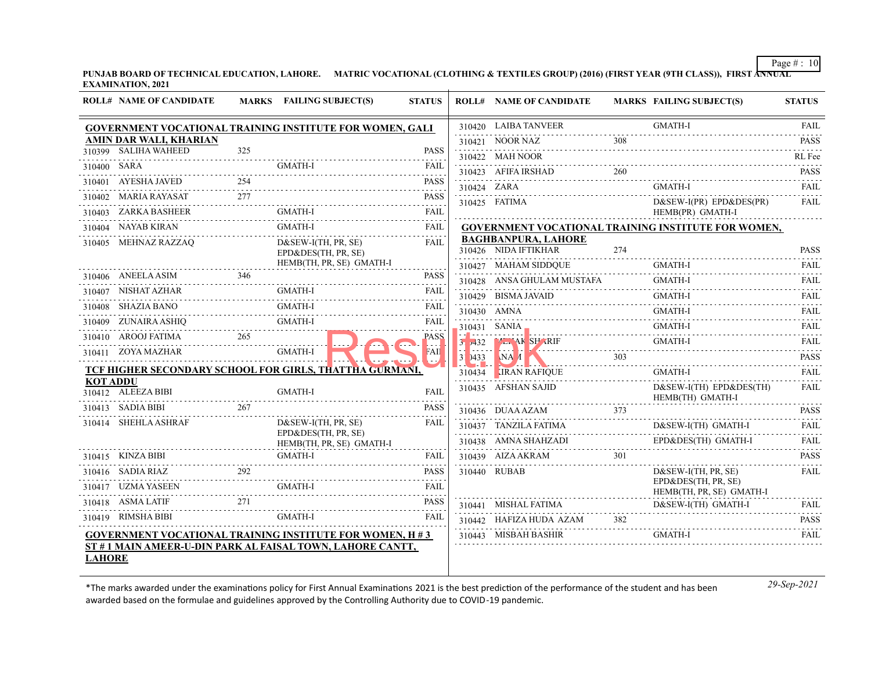**PUNJAB BOARD OF TECHNICAL EDUCATION, LAHORE. MATRIC VOCATIONAL (CLOTHING & TEXTILES GROUP) (2016) (FIRST YEAR (9TH CLASS)), FIRST ANNUAL EXAMINATION, 2021**

|                 | <b>ROLL# NAME OF CANDIDATE</b> |     | MARKS FAILING SUBJECT(S)                                       | <b>STATUS</b>    |                                                               | <b>ROLL# NAME OF CANDIDATE</b>                     |     | MARKS FAILING SUBJECT(S)                                   | <b>STATUS</b>                |
|-----------------|--------------------------------|-----|----------------------------------------------------------------|------------------|---------------------------------------------------------------|----------------------------------------------------|-----|------------------------------------------------------------|------------------------------|
|                 |                                |     | GOVERNMENT VOCATIONAL TRAINING INSTITUTE FOR WOMEN, GALI       |                  |                                                               | 310420 LAIBA TANVEER                               |     | <b>GMATH-I</b>                                             | FAIL                         |
|                 | AMIN DAR WALI, KHARIAN         |     |                                                                |                  |                                                               | 310421 NOOR NAZ                                    | 308 |                                                            | <b>PASS</b>                  |
|                 | 310399 SALIHA WAHEED           | 325 |                                                                | <b>PASS</b>      |                                                               | 310422 MAH NOOR                                    |     |                                                            | RL Fee                       |
| 310400 SARA     |                                |     | <b>GMATH-I</b>                                                 | FAIL<br>.        |                                                               | 310423 AFIFA IRSHAD                                | 260 |                                                            | <b>PASS</b>                  |
|                 | 310401 AYESHA JAVED            | 254 |                                                                | <b>PASS</b>      |                                                               | 310424 ZARA                                        |     | <b>GMATH-I</b>                                             | FAIL                         |
|                 | 310402 MARIA RAYASAT           | 277 |                                                                | <b>PASS</b><br>. |                                                               | 310425 FATIMA                                      |     | $D&SEW-I(PR) EPD&DES(PR)$                                  | .<br>FAIL                    |
|                 | 310403 ZARKA BASHEER           |     | GMATH-I                                                        | <b>FAIL</b><br>. |                                                               |                                                    |     | HEMB(PR) GMATH-I                                           |                              |
|                 | 310404 NAYAB KIRAN             |     | <b>GMATH-I</b>                                                 | FAIL             |                                                               |                                                    |     | <b>GOVERNMENT VOCATIONAL TRAINING INSTITUTE FOR WOMEN,</b> |                              |
|                 | 310405 MEHNAZ RAZZAQ           |     | $D&SEW-I(TH, PR, SE)$<br>EPD&DES(TH, PR, SE)                   | <b>FAIL</b>      |                                                               | <b>BAGHBANPURA, LAHORE</b><br>310426 NIDA IFTIKHAR | 274 |                                                            | <b>PASS</b>                  |
|                 |                                |     | HEMB(TH, PR, SE) GMATH-I                                       |                  |                                                               | 310427 MAHAM SIDDQUE                               |     | <b>GMATH-I</b>                                             | <b>FAIL</b>                  |
|                 | 310406 ANEELA ASIM 346         |     |                                                                | <b>PASS</b>      |                                                               | 310428 ANSA GHULAM MUSTAFA                         |     | <b>GMATH-I</b>                                             | FAIL                         |
|                 | 310407 NISHAT AZHAR            |     | <b>GMATH-I</b>                                                 | <b>FAIL</b><br>. |                                                               | 310429 BISMA JAVAID                                |     | <b>GMATH-I</b>                                             | <b>FAIL</b>                  |
|                 | 310408 SHAZIA BANO             |     | <b>GMATH-I</b>                                                 | FAIL             |                                                               | 310430 AMNA                                        |     | <b>GMATH-I</b>                                             | <b>FAIL</b>                  |
|                 | 310409 ZUNAIRA ASHIO           |     | GMATH-I                                                        | FAIL             |                                                               | 310431 SANIA_                                      |     | <b>GMATH-I</b>                                             | <b>FAIL</b>                  |
|                 | 310410 AROOJ FATIMA            | 265 |                                                                | PASS             |                                                               | $3.9431$ SANIA<br>$3.9432$ Man AK SP RIF           |     | GMATH-I                                                    | <b>FAIL</b>                  |
|                 | 310411 ZOYA MAZHAR             |     | <b>GMATH-I</b>                                                 | FAII             |                                                               | 31 $\bigcup$ 1433 $\bigcup$ NA 1                   | 303 |                                                            | $- - - - - -$<br><b>PASS</b> |
|                 |                                |     | TCF HIGHER SECONDARY SCHOOL FOR GIRLS, THATTHA GURMANI,        |                  | $\mathcal{L} = \mathcal{L} \mathcal{L}$ , where $\mathcal{L}$ | <b>Parties</b><br>.<br>310434 LIRAN RAFIQUE        |     | GMATH-I                                                    | <b>FAIL</b>                  |
| <b>KOT ADDU</b> | 310412 ALEEZA BIBI             |     | <b>GMATH-I</b>                                                 | <b>FAIL</b>      |                                                               | 310435 AFSHAN SAJID                                |     | $D&SEW-I(TH)$ $EPD&DES(TH)$<br>HEMB(TH) GMATH-I            | FAIL                         |
|                 | 310413 SADIA BIBI              | 267 |                                                                | <b>PASS</b>      |                                                               | 310436 DUAA AZAM                                   | 373 |                                                            | <b>PASS</b>                  |
|                 | 310414 SHEHLA ASHRAF           |     | $D&SEW-I(TH, PR, SE)$                                          | FAIL             |                                                               | 310437 TANZILA FATIMA                              |     | D&SEW-I(TH) GMATH-I                                        | <b>FAIL</b>                  |
|                 |                                |     | EPD&DES(TH, PR, SE)<br>HEMB(TH, PR, SE) GMATH-I                |                  |                                                               | 310438 AMNA SHAHZADI                               |     | EPD&DES(TH) GMATH-I                                        | <b>FAIL</b>                  |
|                 | 310415 KINZA BIBI              |     | <b>GMATH-I</b>                                                 | FAIL             |                                                               | 310439 AIZA AKRAM                                  |     |                                                            | <b>PASS</b>                  |
|                 | $310416$ SADIA RIAZ            | 292 |                                                                | <b>PASS</b>      |                                                               | 310440 RUBAB                                       |     | $D&SEW-I(TH, PR, SE)$                                      | FAIL                         |
|                 | 310417 UZMA YASEEN             |     | <b>GMATH-I</b>                                                 | <b>FAIL</b>      |                                                               |                                                    |     | EPD&DES(TH, PR, SE)<br>HEMB(TH, PR, SE) GMATH-I            |                              |
|                 | 310418 ASMA LATIF              | 271 |                                                                | <b>PASS</b>      |                                                               | 310441 MISHAL FATIMA                               |     | D&SEW-I(TH) GMATH-I                                        | FAIL                         |
|                 | 310419 RIMSHA BIBI             |     | <b>GMATH-I</b>                                                 | FAIL             |                                                               | 310442 HAFIZA HUDA AZAM                            | 382 |                                                            | <b>PASS</b>                  |
|                 |                                |     | <b>GOVERNMENT VOCATIONAL TRAINING INSTITUTE FOR WOMEN, H#3</b> |                  |                                                               | 310443 MISBAH BASHIR                               |     | <b>GMATH-I</b>                                             | FAIL                         |
| <b>LAHORE</b>   |                                |     | ST #1 MAIN AMEER-U-DIN PARK AL FAISAL TOWN, LAHORE CANTT,      |                  |                                                               |                                                    |     |                                                            |                              |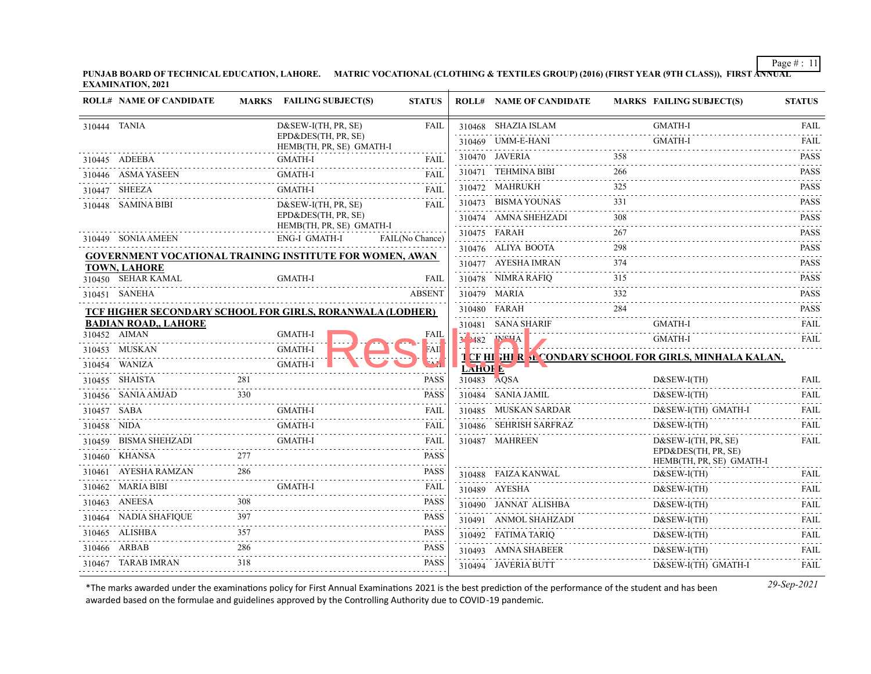**PUNJAB BOARD OF TECHNICAL EDUCATION, LAHORE. MATRIC VOCATIONAL (CLOTHING & TEXTILES GROUP) (2016) (FIRST YEAR (9TH CLASS)), FIRST ANNUAL EXAMINATION, 2021**

| <b>ROLL# NAME OF CANDIDATE</b>                                                         |      | MARKS FAILING SUBJECT(S)                         | <b>STATUS</b>   |               | <b>ROLL# NAME OF CANDIDATE</b>                  |          | <b>MARKS FAILING SUBJECT(S)</b>                                  | <b>STATUS</b>      |
|----------------------------------------------------------------------------------------|------|--------------------------------------------------|-----------------|---------------|-------------------------------------------------|----------|------------------------------------------------------------------|--------------------|
| 310444 TANIA                                                                           |      | $D&SEW-I(TH, PR, SE)$                            | <b>FAIL</b>     |               | 310468 SHAZIA ISLAM                             |          | <b>GMATH-I</b>                                                   | FAIL               |
|                                                                                        |      | EPD&DES(TH, PR, SE)<br>HEMB(TH, PR, SE) GMATH-I  |                 |               | 310469 UMM-E-HANI                               |          | <b>GMATH-I</b>                                                   | <b>FAIL</b>        |
| 310445 ADEEBA                                                                          |      | GMATH-I                                          | <b>FAIL</b>     |               | 310470 JAVERIA                                  | 358      |                                                                  | <b>PASS</b>        |
| 310446 ASMA YASEEN                                                                     |      | <b>GMATH-I</b>                                   | <b>FAIL</b>     |               | 310471 TEHMINA BIBI                             | 266      |                                                                  | <b>PASS</b>        |
| 310447 SHEEZA                                                                          |      | <b>GMATH-I</b>                                   | <b>FAIL</b>     |               | 310472 MAHRUKH                                  | 325      |                                                                  | <b>PASS</b>        |
| 310448 SAMINA BIBI                                                                     |      | $D&SEW-I(TH, PR, SE)$                            | <b>FAIL</b>     |               | 310473 BISMA YOUNAS                             | 331      |                                                                  | <b>PASS</b>        |
|                                                                                        |      | EPD&DES(TH, PR, SE)                              |                 |               | 310474 AMNA SHEHZADI                            | 308      |                                                                  | <b>PASS</b><br>.   |
| 310449 SONIA AMEEN                                                                     |      | HEMB(TH, PR, SE) GMATH-I<br><b>ENG-I GMATH-I</b> | FAIL(No Chance) |               | 310475 FARAH                                    | 267      |                                                                  | <b>PASS</b>        |
|                                                                                        |      |                                                  |                 |               | 310476 ALIYA BOOTA                              | 298      |                                                                  | <b>PASS</b><br>.   |
| <b>GOVERNMENT VOCATIONAL TRAINING INSTITUTE FOR WOMEN, AWAN</b><br><b>TOWN, LAHORE</b> |      |                                                  |                 |               | 310477 AYESHA IMRAN                             | 374      |                                                                  | <b>PASS</b>        |
| 310450 SEHAR KAMAL                                                                     |      | GMATH-I                                          | <b>FAIL</b>     |               | 310478 NIMRA RAFIQ                              | 315      |                                                                  | <b>PASS</b>        |
| 310451 SANEHA                                                                          |      |                                                  | <b>ABSENT</b>   |               | 310479 MARIA                                    | 332<br>. |                                                                  | <b>PASS</b>        |
| TCF HIGHER SECONDARY SCHOOL FOR GIRLS, RORANWALA (LODHER)                              |      |                                                  |                 |               | 310480 FARAH                                    | 284      |                                                                  | <b>PASS</b>        |
| <b>BADIAN ROAD,, LAHORE</b>                                                            |      |                                                  |                 |               | 310481 SANA SHARIF                              |          | <b>GMATH-I</b>                                                   | <b>FAIL</b><br>.   |
| 310452 AIMAN                                                                           |      | <b>GMATH-I</b>                                   | FAIL            |               | 3 <sup>1</sup> 1482 PICHA<br><b>FILLE 4. V.</b> |          | .<br>GMATH-I                                                     | FAIL               |
| 310453 MUSKAN                                                                          |      | <b>GMATH-I</b>                                   | FAH             |               |                                                 |          | <b>T CF HI GHE R SE CONDARY SCHOOL FOR GIRLS, MINHALA KALAN,</b> |                    |
| 310454 WANIZA                                                                          |      | <b>GMATH-I</b>                                   |                 | <b>LAHOIE</b> |                                                 |          |                                                                  |                    |
| 310455 SHAISTA                                                                         | 281  |                                                  | <b>PASS</b>     | 310483 AQSA   |                                                 |          | $D&SEW-I(TH)$                                                    | <b>FAIL</b>        |
| 310456 SANIA AMJAD                                                                     | 330  |                                                  | <b>PASS</b>     |               | 310484 SANIA JAMIL                              |          | $D&SEW-I(TH)$                                                    | <b>FAIL</b>        |
| 310457 SABA                                                                            |      | <b>GMATH-I</b>                                   | FAIL            |               | 310485 MUSKAN SARDAR                            |          | D&SEW-I(TH) GMATH-I                                              | FAIL               |
| 310458 NIDA                                                                            |      | <b>GMATH-I</b>                                   | FAIL            |               | 310486 SEHRISH SARFRAZ                          |          | $D&SEW-I(TH)$                                                    | <b>FAIL</b>        |
| 310459 BISMA SHEHZADI                                                                  |      | <b>GMATH-I</b>                                   | FAIL            |               | 310487 MAHREEN                                  |          | $D&SEW-I(TH, PR, SE)$<br>EPD&DES(TH, PR, SE)                     | <b>FAIL</b>        |
| 310460 KHANSA                                                                          | 2.77 |                                                  | <b>PASS</b>     |               |                                                 |          | HEMB(TH, PR, SE) GMATH-I                                         |                    |
| 310461 AYESHA RAMZAN                                                                   |      |                                                  | <b>PASS</b>     |               | 310488 FAIZA KANWAL                             |          | $D&SEW-I(TH)$                                                    | FAIL.<br>1.1.1.1.1 |
| 310462 MARIA BIBI                                                                      |      | <b>GMATH-I</b>                                   | FAIL            |               | 310489 AYESHA                                   |          | $D&SEW-I(TH)$                                                    | FAIL               |
| 310463 ANEESA                                                                          | 308  |                                                  | <b>PASS</b>     |               | 310490 JANNAT ALISHBA                           |          | $D&SEW-I(TH)$                                                    | <b>FAIL</b>        |
| 310464 NADIA SHAFIQUE                                                                  | 397  |                                                  | <b>PASS</b>     |               | 310491 ANMOL SHAHZADI                           |          | D&SEW-I(TH)                                                      | <b>FAIL</b>        |
| 310465 ALISHBA                                                                         | 357  |                                                  | <b>PASS</b>     |               | 310492 FATIMA TARIQ                             |          | $D&SEW-I(TH)$                                                    | FAIL               |
| 310466 ARBAB                                                                           | 286  |                                                  | <b>PASS</b>     |               | 310493 AMNA SHABEER                             |          | $D&SEW-I(TH)$                                                    | <b>FAIL</b>        |
| 310467 TARAB IMRAN                                                                     | 318  |                                                  | <b>PASS</b>     |               | 310494 JAVERIA BUTT                             |          | D&SEW-I(TH) GMATH-I                                              | FAIL               |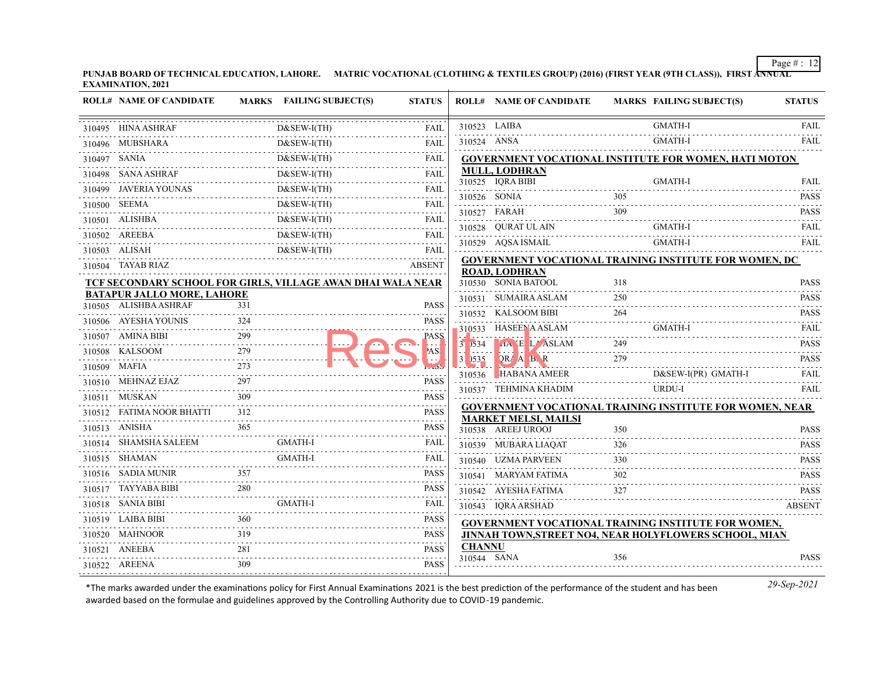**PUNJAB BOARD OF TECHNICAL EDUCATION, LAHORE. MATRIC VOCATIONAL (CLOTHING & TEXTILES GROUP) (2016) (FIRST YEAR (9TH CLASS)), FIRST ANNUAL EXAMINATION, 2021**

|              | <b>ROLL# NAME OF CANDIDATE</b>                              |            | <b>MARKS</b> FAILING SUBJECT(S)   | <b>STATUS</b>              |               | <b>ROLL# NAME OF CANDIDATE</b>                                                                                                                                                                                                                                                                                         |     | <b>MARKS FAILING SUBJECT(S)</b>                                 | <b>STATUS</b>       |
|--------------|-------------------------------------------------------------|------------|-----------------------------------|----------------------------|---------------|------------------------------------------------------------------------------------------------------------------------------------------------------------------------------------------------------------------------------------------------------------------------------------------------------------------------|-----|-----------------------------------------------------------------|---------------------|
|              | 310495 HINA ASHRAF                                          |            | D&SEW-I(TH)                       | <b>FAIL</b>                | 310523 LAIBA  |                                                                                                                                                                                                                                                                                                                        |     | <b>GMATH-I</b>                                                  | <b>FAIL</b>         |
|              | 310496 MUBSHARA                                             |            | $D&SEW-I(TH)$                     | <b>FAIL</b>                | 310524 ANSA   |                                                                                                                                                                                                                                                                                                                        |     | <b>GMATH-I</b>                                                  | <b>FAIL</b>         |
| 310497 SANIA |                                                             |            | .<br>D&SEW-I(TH)                  | <b>FAIL</b>                |               |                                                                                                                                                                                                                                                                                                                        |     | GOVERNMENT VOCATIONAL INSTITUTE FOR WOMEN, HATI MOTON           |                     |
|              | 310498 SANA ASHRAF                                          |            | $D&SEW-I(TH)$                     | <b>FAIL</b>                |               | MULL, LODHRAN                                                                                                                                                                                                                                                                                                          |     |                                                                 |                     |
|              | 310499 JAVERIA YOUNAS                                       |            | $D&SEW-I(TH)$<br>D&SEW-I(TH) FAIL | FAIL                       |               | 310525 IQRA BIBI<br>310526 SONIA                                                                                                                                                                                                                                                                                       | 305 | <b>GMATH-I</b>                                                  | FAIL<br><b>PASS</b> |
|              | 310500 SEEMA                                                |            | $D&SEW-I(TH)$                     | FAIL                       |               |                                                                                                                                                                                                                                                                                                                        | 309 |                                                                 | <b>PASS</b>         |
|              | 310501 ALISHBA                                              |            | $D&SEW-I(TH)$                     | FAIL                       |               | 310527 FARAH<br>310528 QURAT UL AIN                                                                                                                                                                                                                                                                                    |     | GMATH-I                                                         | <b>FAIL</b>         |
|              | 310502 AREEBA                                               |            | D&SEW-I(TH)                       | <b>FAIL</b>                |               | 310529 AQSA ISMAIL                                                                                                                                                                                                                                                                                                     |     | <b>GMATH-I</b>                                                  | <b>FAIL</b>         |
|              | 310503 ALISAH                                               |            | $D&SEW-I(TH)$                     | FAIL                       |               |                                                                                                                                                                                                                                                                                                                        |     |                                                                 |                     |
|              | 310504 TAYAB RIAZ                                           |            |                                   | <b>ABSENT</b>              |               | <b>ROAD, LODHRAN</b>                                                                                                                                                                                                                                                                                                   |     | <b>GOVERNMENT VOCATIONAL TRAINING INSTITUTE FOR WOMEN, DC</b>   |                     |
|              | TCF SECONDARY SCHOOL FOR GIRLS, VILLAGE AWAN DHAI WALA NEAR |            |                                   |                            |               | 310530 SONIA BATOOL                                                                                                                                                                                                                                                                                                    | 318 |                                                                 | <b>PASS</b>         |
|              | <b>BATAPUR JALLO MORE, LAHORE</b>                           |            |                                   |                            |               | 310531 SUMAIRA ASLAM                                                                                                                                                                                                                                                                                                   | 250 |                                                                 | <b>PASS</b>         |
|              | 310505 ALISHBA ASHRAF                                       | 331        |                                   | <b>PASS</b>                |               | 310532 KALSOOM BIBI                                                                                                                                                                                                                                                                                                    | 264 |                                                                 | <b>PASS</b>         |
|              | 310506 AYESHA YOUNIS                                        | 324        |                                   | <b>PASS</b>                |               | 310533 HASEENA ASLAM                                                                                                                                                                                                                                                                                                   |     | <b>GMATH-I</b>                                                  | <b>FAIL</b>         |
|              | 310507 AMINA BIBI                                           | 299        |                                   | <b>PASS</b>                |               | $3.534$ $A \times E$ L/ASLAM                                                                                                                                                                                                                                                                                           | 249 |                                                                 | <b>PASS</b>         |
|              | 310508 KALSOOM                                              | 279<br>273 |                                   | AS!                        |               | $\frac{1}{3}$ $\frac{1}{2535}$ $\frac{1}{2}$ $\frac{1}{2}$ $\frac{1}{2}$ $\frac{1}{2}$ $\frac{1}{2}$ $\frac{1}{2}$ $\frac{1}{2}$ $\frac{1}{2}$ $\frac{1}{2}$ $\frac{1}{2}$ $\frac{1}{2}$ $\frac{1}{2}$ $\frac{1}{2}$ $\frac{1}{2}$ $\frac{1}{2}$ $\frac{1}{2}$ $\frac{1}{2}$ $\frac{1}{2}$ $\frac{1}{2}$ $\frac{1}{2}$ | 279 |                                                                 | <b>PASS</b>         |
|              | 310509 MAFIA                                                |            |                                   |                            |               | 310536 HABANA AMEER                                                                                                                                                                                                                                                                                                    |     | D&SEW-I(PR) GMATH-I                                             | FAIL                |
|              | 310510 MEHNAZ EJAZ                                          | 309        |                                   | <b>PASS</b>                |               | 310537 TEHMINA KHADIM                                                                                                                                                                                                                                                                                                  |     | URDU-I                                                          | <b>FAIL</b>         |
|              | 310511 MUSKAN<br>310512 FATIMA NOOR BHATTI                  | 312        |                                   | <b>PASS</b><br><b>PASS</b> |               |                                                                                                                                                                                                                                                                                                                        |     | <b>GOVERNMENT VOCATIONAL TRAINING INSTITUTE FOR WOMEN, NEAR</b> |                     |
|              |                                                             | 365        |                                   | .                          |               | <b>MARKET MELSI, MAILSI</b>                                                                                                                                                                                                                                                                                            |     |                                                                 |                     |
|              | 310513 ANISHA                                               |            | <b>GMATH-I</b>                    | <b>PASS</b>                |               | 310538 AREEJ UROOJ                                                                                                                                                                                                                                                                                                     | 350 |                                                                 | <b>PASS</b>         |
|              | 310514 SHAMSHA SALEEM<br>310515 SHAMAN                      |            | <b>GMATH-I</b>                    | FAIL<br>FAIL               |               | 310539 MUBARA LIAOAT                                                                                                                                                                                                                                                                                                   | 326 |                                                                 | <b>PASS</b>         |
|              |                                                             | 357        |                                   |                            |               | 310540 UZMA PARVEEN                                                                                                                                                                                                                                                                                                    | 330 |                                                                 | <b>PASS</b>         |
|              | 310516 SADIA MUNIR<br>310517 TAYYABA BIBI                   | 280        |                                   | PASS<br><b>PASS</b>        |               | 310541 MARYAM FATIMA                                                                                                                                                                                                                                                                                                   | 302 |                                                                 | <b>PASS</b>         |
|              | 310518 SANIA BIBI                                           |            | <b>GMATH-I</b>                    |                            |               | 310542 AYESHA FATIMA                                                                                                                                                                                                                                                                                                   | 327 |                                                                 | <b>PASS</b>         |
|              | 310519 LAIBA BIBI                                           |            |                                   | FAIL<br><b>PASS</b>        |               | 310543 IQRA ARSHAD                                                                                                                                                                                                                                                                                                     |     |                                                                 | <b>ABSENT</b>       |
|              | 310520 MAHNOOR                                              | 319        |                                   | <b>PASS</b>                |               |                                                                                                                                                                                                                                                                                                                        |     | <b>GOVERNMENT VOCATIONAL TRAINING INSTITUTE FOR WOMEN,</b>      |                     |
|              | 310521 ANEEBA                                               | 281        |                                   | <b>PASS</b>                | <b>CHANNU</b> |                                                                                                                                                                                                                                                                                                                        |     | JINNAH TOWN, STREET NO4, NEAR HOLYFLOWERS SCHOOL, MIAN          |                     |
|              | 310522 AREENA                                               | 309        |                                   | <b>PASS</b>                | 310544 SANA   |                                                                                                                                                                                                                                                                                                                        | 356 |                                                                 | <b>PASS</b>         |
|              |                                                             |            |                                   |                            |               |                                                                                                                                                                                                                                                                                                                        |     |                                                                 |                     |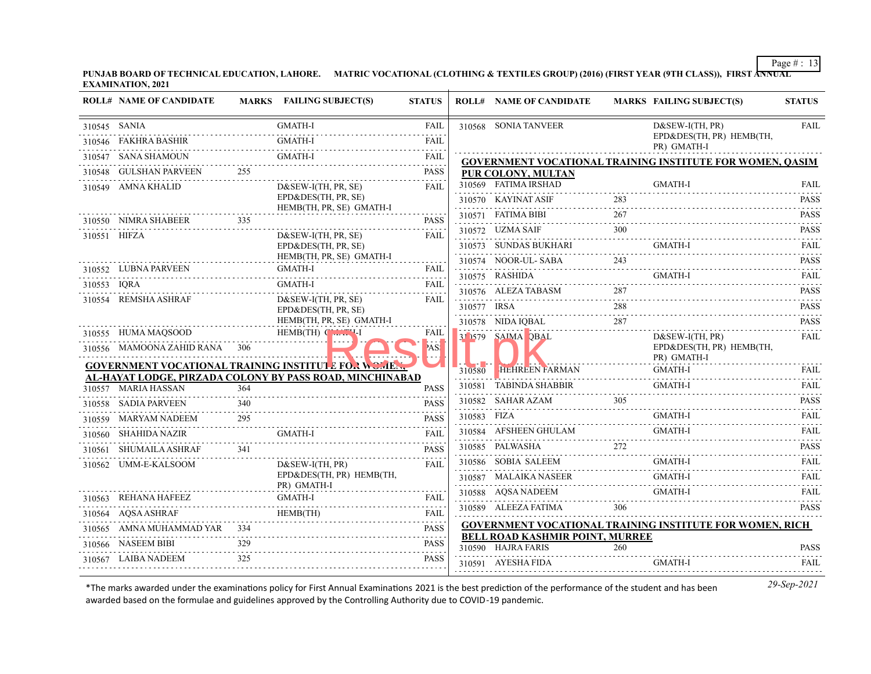**PUNJAB BOARD OF TECHNICAL EDUCATION, LAHORE. MATRIC VOCATIONAL (CLOTHING & TEXTILES GROUP) (2016) (FIRST YEAR (9TH CLASS)), FIRST ANNUAL EXAMINATION, 2021**

|              | <b>ROLL# NAME OF CANDIDATE</b> |     | MARKS FAILING SUBJECT(S)                                     | <b>STATUS</b>                          |             | <b>ROLL# NAME OF CANDIDATE</b>                               |     | <b>MARKS FAILING SUBJECT(S)</b>                                  | <b>STATUS</b>                  |
|--------------|--------------------------------|-----|--------------------------------------------------------------|----------------------------------------|-------------|--------------------------------------------------------------|-----|------------------------------------------------------------------|--------------------------------|
| 310545 SANIA |                                |     | <b>GMATH-I</b>                                               | <b>FAIL</b>                            |             | 310568 SONIA TANVEER                                         |     | $D&SEW-I(TH, PR)$                                                | <b>FAIL</b>                    |
|              | 310546 FAKHRA BASHIR           |     | <b>GMATH-I</b>                                               | <b>FAIL</b>                            |             |                                                              |     | EPD&DES(TH, PR) HEMB(TH,<br>PR) GMATH-I                          |                                |
|              | 310547 SANA SHAMOUN            |     | <b>GMATH-I</b>                                               | <b>FAIL</b><br>$\sim 100$ km s $^{-1}$ |             |                                                              |     | <b>GOVERNMENT VOCATIONAL TRAINING INSTITUTE FOR WOMEN, QASIM</b> |                                |
|              | 310548 GULSHAN PARVEEN         | 255 |                                                              | <b>PASS</b>                            |             | PUR COLONY, MULTAN                                           |     |                                                                  |                                |
|              | 310549 AMNA KHALID             |     | $D&SEW-I(TH, PR, SE)$                                        | FAIL                                   |             | 310569 FATIMA IRSHAD                                         |     | <b>GMATH-I</b>                                                   | <b>FAIL</b>                    |
|              |                                |     | EPD&DES(TH, PR, SE)<br>HEMB(TH, PR, SE) GMATH-I              |                                        |             | 310570 KAYINAT ASIF                                          | 283 |                                                                  | <b>PASS</b>                    |
|              | 310550 NIMRA SHABEER           | 335 |                                                              | <b>PASS</b>                            |             | 310571 FATIMA BIBI                                           | 267 |                                                                  | <b>PASS</b><br>.               |
| 310551 HIFZA |                                |     | $D&SEW-I(TH, PR, SE)$                                        | FAIL                                   |             | 310572 UZMA SAIF                                             | 300 |                                                                  | <b>PASS</b>                    |
|              |                                |     | EPD&DES(TH, PR, SE)                                          |                                        |             | 310573 SUNDAS BUKHARI                                        |     | GMATH-I                                                          | FAII.<br>.                     |
|              | 310552 LUBNA PARVEEN           |     | HEMB(TH, PR, SE) GMATH-I<br>GMATH-I                          | <b>FAIL</b>                            |             | 310574 NOOR-UL- SABA                                         | 243 |                                                                  | <b>PASS</b>                    |
| 310553 IQRA  |                                |     | <b>GMATH-I</b>                                               | <b>FAIL</b>                            |             | 310575 RASHIDA                                               |     | <b>GMATH-I</b>                                                   | FAIL<br>$\omega$ is a graph.   |
|              | 310554 REMSHA ASHRAF           |     | $D&SEW-I(TH, PR, SE)$                                        | FAIL                                   |             | 310576 ALEZA TABASM                                          | 287 |                                                                  | <b>PASS</b>                    |
|              |                                |     | EPD&DES(TH, PR, SE)                                          |                                        | 310577 IRSA |                                                              | 288 |                                                                  | <b>PASS</b>                    |
|              |                                |     | HEMB(TH, PR, SE) GMATH-I                                     |                                        |             | 310578 NIDA IQBAL                                            | 287 |                                                                  | <b>PASS</b><br>والمالم لمالمان |
|              | 310555 HUMA MAQSOOD            |     | $HEMB(TH)$ $\left(\begin{array}{c} 1 \ 1 \end{array}\right)$ | FAIL                                   |             | 3 579 SAIMA QBAL                                             |     | $D&SEW-I(TH, PR)$                                                | <b>FAIL</b>                    |
|              | 310556 MAMOONA ZAHID RANA 306  |     |                                                              | AS!                                    |             |                                                              |     | EPD&DES(TH, PR) HEMB(TH,<br>PR) GMATH-I                          |                                |
|              |                                |     | <b>GOVERNMENT VOCATIONAL TRAINING INSTITUTE FOR WORLER.</b>  |                                        | 310580      | <b>HEHREEN FARMAN</b>                                        |     | <b>GMATH-I</b>                                                   | <b>FAIL</b>                    |
|              | 310557 MARIA HASSAN            | 364 | AL-HAYAT LODGE, PIRZADA COLONY BY PASS ROAD, MINCHINABAD     | <b>PASS</b>                            |             | 310581 TABINDA SHABBIR                                       |     |                                                                  | .<br>FAII.                     |
|              | 310558 SADIA PARVEEN           | 340 |                                                              | <b>PASS</b>                            |             | 310582 SAHAR AZAM                                            | 305 |                                                                  | <b>PASS</b>                    |
|              | 310559 MARYAM NADEEM           | 295 |                                                              | <b>PASS</b>                            | 310583 FIZA |                                                              |     | <b>GMATH-I</b>                                                   | <b>FAIL</b>                    |
|              | 310560 SHAHIDA NAZIR           |     | <b>GMATH-I</b>                                               | <b>FAIL</b>                            |             | 310584 AFSHEEN GHULAM                                        |     | <b>GMATH-I</b>                                                   | <b>FAIL</b>                    |
|              | 310561 SHUMAILA ASHRAF         | 341 |                                                              | <b>PASS</b>                            |             | 310585 PALWASHA                                              |     |                                                                  | .<br><b>PASS</b>               |
|              | 310562 UMM-E-KALSOOM           |     | $D&SEW-I(TH, PR)$                                            | FAII.                                  |             | 310586 SOBIA SALEEM                                          |     | GMATH-I                                                          | <b>FAIL</b>                    |
|              |                                |     | EPD&DES(TH, PR) HEMB(TH,<br>PR) GMATH-I                      |                                        |             | 310587 MALAIKA NASEER                                        |     | <b>GMATH-I</b>                                                   | <b>FAIL</b>                    |
|              | 310563 REHANA HAFEEZ           |     | <b>GMATH-I</b>                                               | <b>FAIL</b>                            |             | 310588 AQSA NADEEM                                           |     | <b>GMATH-I</b>                                                   | <b>FAIL</b><br>1.1.1.1.1.1     |
|              | 310564 AQSA ASHRAF             |     | HEMB(TH)                                                     | <b>FAIL</b>                            |             | 310589 ALEEZA FATIMA                                         | 306 |                                                                  | <b>PASS</b>                    |
|              | 310565 AMNA MUHAMMAD YAR 334   |     |                                                              | <b>PASS</b>                            |             |                                                              |     | <b>GOVERNMENT VOCATIONAL TRAINING INSTITUTE FOR WOMEN, RICH</b>  |                                |
|              | 310566 NASEEM BIBI             | 329 |                                                              | <b>PASS</b>                            |             | <b>BELL ROAD KASHMIR POINT, MURREE</b><br>310590 HAJRA FARIS | 260 |                                                                  | PASS                           |
|              | 310567 LAIBA NADEEM            | 325 |                                                              | <b>PASS</b>                            |             | 310591 AYESHA FIDA                                           |     | <b>GMATH-I</b>                                                   | <b>FAIL</b>                    |
|              |                                |     |                                                              |                                        |             |                                                              |     |                                                                  |                                |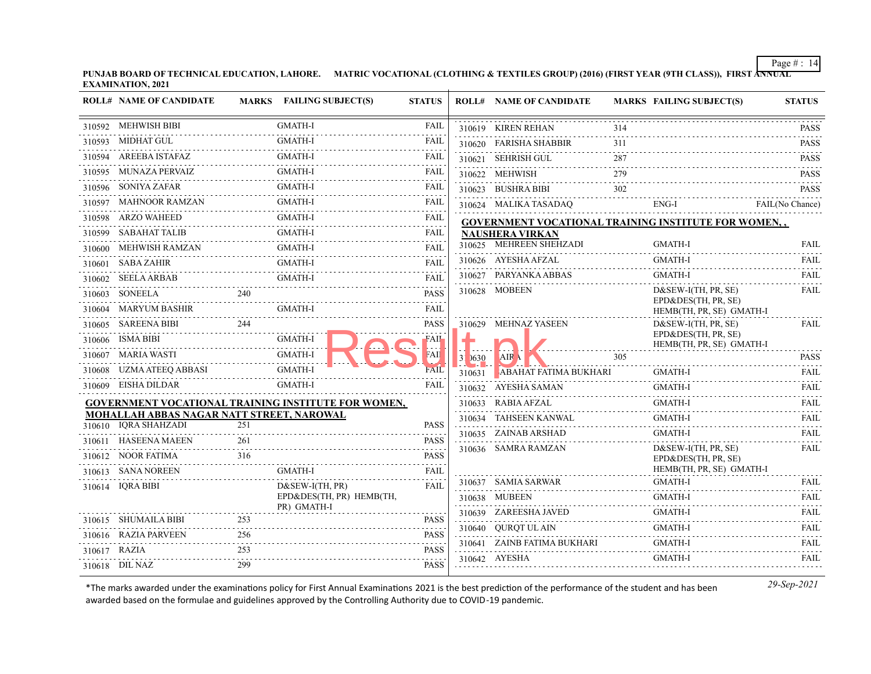**PUNJAB BOARD OF TECHNICAL EDUCATION, LAHORE. MATRIC VOCATIONAL (CLOTHING & TEXTILES GROUP) (2016) (FIRST YEAR (9TH CLASS)), FIRST ANNUAL EXAMINATION, 2021**

|        | <b>ROLL# NAME OF CANDIDATE</b>                                    |     | MARKS FAILING SUBJECT(S)                            | <b>STATUS</b>    |            | <b>ROLL# NAME OF CANDIDATE</b>                       |     | <b>MARKS FAILING SUBJECT(S)</b>                 | <b>STATUS</b>    |
|--------|-------------------------------------------------------------------|-----|-----------------------------------------------------|------------------|------------|------------------------------------------------------|-----|-------------------------------------------------|------------------|
|        | 310592 MEHWISH BIBI                                               |     | <b>GMATH-I</b>                                      | <b>FAIL</b>      |            | 310619 KIREN REHAN                                   | 314 |                                                 | PASS             |
|        | 310593 MIDHAT GUL                                                 |     | <b>GMATH-I</b>                                      | <b>FAIL</b>      |            | 310620 FARISHA SHABBIR                               | 311 |                                                 | <b>PASS</b>      |
|        | 310594 AREEBA ISTAFAZ                                             |     | <b>GMATH-I</b>                                      | FAIL             |            | 310621 SEHRISH GUL                                   | 287 |                                                 | <b>PASS</b>      |
|        | 310595 MUNAZA PERVAIZ                                             |     | <b>GMATH-I</b>                                      | FAIL             |            | 310622 MEHWISH                                       | 279 |                                                 | <b>PASS</b>      |
|        | 310596 SONIYA ZAFAR                                               |     | <b>GMATH-I</b><br>.                                 | <b>FAIL</b>      |            | 310623 BUSHRA BIBI                                   | 302 |                                                 | <b>PASS</b>      |
|        | 310597 MAHNOOR RAMZAN                                             |     | <b>GMATH-I</b><br>.                                 | FAIL             |            | 310624 MALIKA TASADAQ                                |     | ENG-I                                           | FAIL(No Chance)  |
|        | 310598 ARZO WAHEED                                                |     | <b>GMATH-I</b>                                      | FAIL             |            | GOVERNMENT VOCATIONAL TRAINING INSTITUTE FOR WOMEN,, |     |                                                 |                  |
|        | 310599 SABAHAT TALIB                                              |     | <b>GMATH-I</b>                                      | <b>FAIL</b>      |            | <b>NAUSHERA VIRKAN</b>                               |     |                                                 |                  |
|        | 310600 MEHWISH RAMZAN                                             |     | <b>GMATH-I</b>                                      | <b>FAIL</b>      |            | 310625 MEHREEN SHEHZADI                              |     | <b>GMATH-I</b>                                  | <b>FAIL</b>      |
|        | 310601 SABA ZAHIR                                                 |     | <b>GMATH-I</b>                                      | <b>FAIL</b>      |            | 310626 AYESHA AFZAL                                  |     | <b>GMATH-I</b>                                  | <b>FAIL</b>      |
|        | 310602 SEELA ARBAB                                                |     | <b>GMATH-I</b>                                      | FAII.            |            | 310627 PARYANKA ABBAS                                |     | <b>GMATH-I</b>                                  | <b>FAIL</b>      |
|        | 310603 SONEELA                                                    | 240 |                                                     | <b>PASS</b>      |            | 310628 MOBEEN                                        |     | $D&SEW-I(TH, PR, SE)$<br>EPD&DES(TH, PR, SE)    | <b>FAIL</b>      |
|        | 310604 MARYUM BASHIR                                              |     | <b>GMATH-I</b>                                      | <b>FAIL</b>      |            |                                                      |     | HEMB(TH, PR, SE) GMATH-I                        |                  |
|        | 310605 SAREENA BIBI                                               | 244 |                                                     | <b>PASS</b>      |            | 310629 MEHNAZ YASEEN                                 |     | $D&SEW-I(TH, PR, SE)$                           | <b>FAIL</b>      |
|        | 310606 ISMA BIBI                                                  |     | GMATH-I                                             | FAII             |            |                                                      |     | EPD&DES(TH, PR, SE)<br>HEMB(TH, PR, SE) GMATH-I |                  |
|        | 310607 MARIA WASTI                                                |     | <b>GMATH-I</b><br><u>.</u>                          | ŦАII             | $31\,0630$ | AIR \                                                | 305 |                                                 | <b>PASS</b>      |
|        | 310608 UZMA ATEEQ ABBASI                                          |     | <b>GMATH-I</b>                                      | FAIL             | 310631     | ABAHAT FATIMA BUKHARI                                |     | <b>GMATH-I</b>                                  | FAIL             |
|        | 310609 EISHA DILDAR                                               |     | <b>GMATH-I</b>                                      | <b>FAII</b>      |            | 310632 AYESHA SAMAN                                  |     | <b>GMATH-I</b>                                  | <b>FAIL</b>      |
|        |                                                                   |     | GOVERNMENT VOCATIONAL TRAINING INSTITUTE FOR WOMEN, |                  |            | 310633 RABIA AFZAL                                   |     | <b>GMATH-I</b>                                  | <b>FAIL</b>      |
|        | MOHALLAH ABBAS NAGAR NATT STREET, NAROWAL<br>310610 IQRA SHAHZADI | 251 |                                                     | <b>PASS</b>      |            | 310634 TAHSEEN KANWAL                                |     | <b>GMATH-I</b>                                  | FAIL             |
| 310611 | <b>HASEENA MAEEN</b>                                              | 261 |                                                     | <b>PASS</b>      |            | 310635 ZAINAB ARSHAD                                 |     | GMATH-I                                         | <b>FAIL</b>      |
| 310612 | NOOR FATIMA                                                       | 316 |                                                     | <b>PASS</b>      |            | 310636 SAMRA RAMZAN                                  |     | D&SEW-I(TH, PR, SE)                             | <b>FAIL</b>      |
|        | 310613 SANA NOREEN                                                |     | <b>GMATH-I</b>                                      | FAIL             |            |                                                      |     | EPD&DES(TH, PR, SE)<br>HEMB(TH, PR, SE) GMATH-I |                  |
|        | 310614 IQRA BIBI                                                  |     | $D&SEW-I(TH, PR)$                                   | <b>FAIL</b>      |            | 310637 SAMIA SARWAR                                  |     | <b>GMATH-I</b>                                  | FAIL             |
|        |                                                                   |     | EPD&DES(TH, PR) HEMB(TH,                            |                  |            | 310638 MUBEEN                                        |     | <b>GMATH-I</b>                                  | <b>FAIL</b>      |
|        |                                                                   |     | PR) GMATH-I                                         |                  |            | 310639 ZAREESHA JAVED                                |     | <b>GMATH-I</b>                                  | FAIL             |
|        | 310615 SHUMAILA BIBI                                              | 253 |                                                     | <b>PASS</b><br>. |            | 310640 QURQT UL AIN                                  |     | <b>GMATH-I</b>                                  | FAIL             |
|        | 310616 RAZIA PARVEEN                                              | 256 |                                                     | <b>PASS</b>      |            | 310641 ZAINB FATIMA BUKHARI                          |     | <b>GMATH-I</b>                                  | <b>FAIL</b>      |
|        | 310617 RAZIA                                                      | 253 |                                                     | <b>PASS</b>      |            | 310642 AYESHA                                        |     | <b>GMATH-I</b>                                  | .<br><b>FAIL</b> |
|        | 310618 DIL NAZ                                                    | 299 |                                                     | <b>PASS</b>      |            |                                                      |     |                                                 |                  |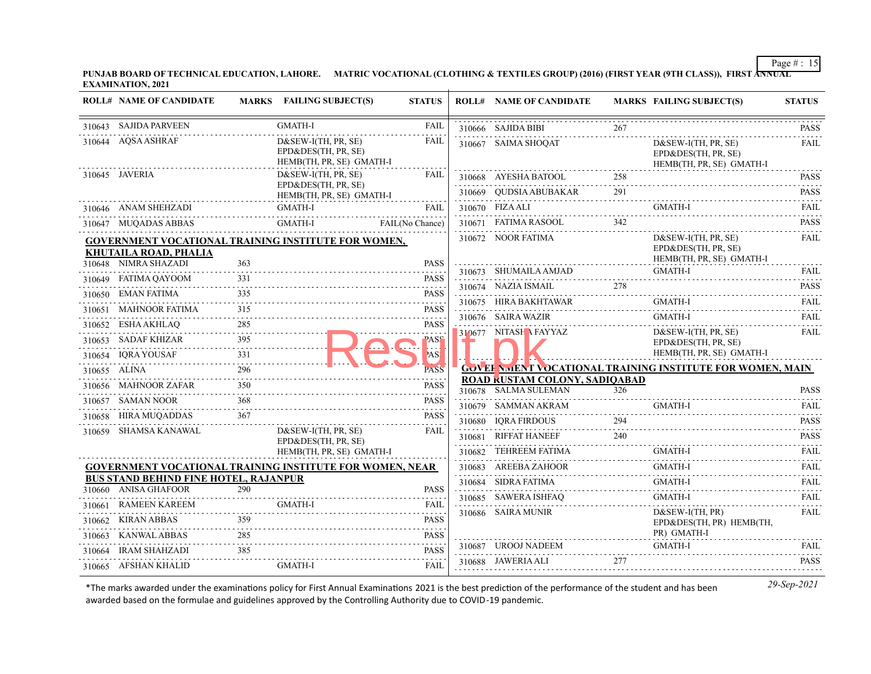**PUNJAB BOARD OF TECHNICAL EDUCATION, LAHORE. MATRIC VOCATIONAL (CLOTHING & TEXTILES GROUP) (2016) (FIRST YEAR (9TH CLASS)), FIRST ANNUAL EXAMINATION, 2021**

|        | <b>ROLL# NAME OF CANDIDATE</b>                                                      |            | <b>MARKS</b> FAILING SUBJECT(S)                                          | <b>STATUS</b>              | <b>ROLL# NAME OF CANDIDATE</b>                        |     | <b>MARKS FAILING SUBJECT(S)</b>                                          | <b>STATUS</b>    |
|--------|-------------------------------------------------------------------------------------|------------|--------------------------------------------------------------------------|----------------------------|-------------------------------------------------------|-----|--------------------------------------------------------------------------|------------------|
|        | 310643 SAJIDA PARVEEN                                                               |            | <b>GMATH-I</b>                                                           | FAIL                       | 310666 SAJIDA BIBI                                    | 267 |                                                                          | <b>PASS</b>      |
|        | 310644 AQSA ASHRAF                                                                  |            | $D&SEW-I(TH, PR, SE)$<br>EPD&DES(TH, PR, SE)<br>HEMB(TH, PR, SE) GMATH-I | FAIL                       | 310667 SAIMA SHOQAT                                   |     | D&SEW-I(TH, PR, SE)<br>EPD&DES(TH, PR, SE)<br>HEMB(TH, PR, SE) GMATH-I   | <b>FAIL</b>      |
|        | 310645 JAVERIA                                                                      |            | $D&SEW-I(TH, PR, SE)$<br>EPD&DES(TH, PR, SE)                             | FAIL                       | 310668 AYESHA BATOOL                                  | 258 |                                                                          | <b>PASS</b><br>. |
|        |                                                                                     |            | HEMB(TH, PR, SE) GMATH-I                                                 |                            | 310669 QUDSIA ABUBAKAR 291                            |     |                                                                          | <b>PASS</b>      |
|        | 310646 ANAM SHEHZADI                                                                |            | GMATH-I                                                                  | <b>FAIL</b>                | 310670 FIZA ALI                                       |     | GMATH-I                                                                  | <b>FAIL</b>      |
|        | 310647 MUQADAS ABBAS                                                                |            | ADAS ABBAS GMATH-I FAIL (No Chance)                                      |                            | 310671 FATIMA RASOOL                                  | 342 |                                                                          | <b>PASS</b>      |
|        | <b>GOVERNMENT VOCATIONAL TRAINING INSTITUTE FOR WOMEN,</b><br>KHUTAILA ROAD, PHALIA | 363        |                                                                          |                            | 310672 NOOR FATIMA                                    |     | $D&SEW-I(TH, PR, SE)$<br>EPD&DES(TH, PR, SE)<br>HEMB(TH, PR, SE) GMATH-I | FAIL             |
|        | 310648 NIMRA SHAZADI                                                                |            |                                                                          | <b>PASS</b>                | 310673 SHUMAILA AMJAD                                 |     | <b>GMATH-I</b>                                                           | FAII.            |
|        | 310649 FATIMA QAYOOM                                                                | 331        |                                                                          | <b>PASS</b>                | 310674 NAZIA ISMAIL                                   | 278 |                                                                          | <b>PASS</b>      |
|        | 310650 EMAN FATIMA                                                                  |            |                                                                          | <b>PASS</b>                | 310675 HIRA BAKHTAWAR                                 |     | GMATH-I                                                                  | <b>FAIL</b>      |
|        | 310651 MAHNOOR FATIMA                                                               | 315        |                                                                          | <b>PASS</b>                | 310676 SAIRA WAZIR                                    |     | <b>GMATH-I</b>                                                           | <b>FAIL</b>      |
|        | 310652 ESHA AKHLAQ<br>310653 SADAF KHIZAR                                           | 285<br>395 |                                                                          | <b>PASS</b><br><b>PASS</b> | 310677 NITASH A FAYYAZ                                |     | $D&SEW-I(TH, PR, SE)$<br>EPD&DES(TH, PR, SE)                             | FAIL             |
|        | 310654 IQRA YOUSAF                                                                  |            |                                                                          | AS!                        |                                                       |     | HEMB(TH, PR, SE) GMATH-I                                                 |                  |
|        | 310655 ALINA                                                                        | 296        |                                                                          | <b>PASS</b>                |                                                       |     | <b>GOVEF NMENT VOCATIONAL TRAINING INSTITUTE FOR WOMEN, MAIN</b>         |                  |
|        | 310656 MAHNOOR ZAFAR                                                                | 350        |                                                                          | <b>PASS</b>                | ROAD RUSTAM COLONY, SADIQABAD<br>310678 SALMA SULEMAN | 326 |                                                                          | <b>PASS</b>      |
|        | 310657 SAMAN NOOR                                                                   | 368        |                                                                          | <b>PASS</b>                | 310679 SAMMAN AKRAM                                   |     | GMATH-I                                                                  | <b>FAIL</b>      |
|        | 310658 HIRA MUQADDAS                                                                | 367        |                                                                          | <b>PASS</b>                | 310680 IQRA FIRDOUS                                   |     |                                                                          | <b>PASS</b>      |
|        | 310659 SHAMSA KANAWAL                                                               |            | D&SEW-I(TH, PR, SE)                                                      | FAIL                       | 310681 RIFFAT HANEEF                                  | 240 |                                                                          | <b>PASS</b>      |
|        |                                                                                     |            | EPD&DES(TH, PR, SE)<br>HEMB(TH, PR, SE) GMATH-I                          |                            | 310682 TEHREEM FATIMA                                 |     | GMATH-I                                                                  | FAII.            |
|        | <b>GOVERNMENT VOCATIONAL TRAINING INSTITUTE FOR WOMEN, NEAR</b>                     |            |                                                                          |                            | 310683 AREEBA ZAHOOR                                  |     | <b>GMATH-I</b>                                                           | <b>FAIL</b>      |
|        | <b>BUS STAND BEHIND FINE HOTEL, RAJANPUR</b>                                        |            |                                                                          |                            | 310684 SIDRA FATIMA                                   |     | <b>GMATH-I</b>                                                           | <b>FAIL</b>      |
|        | 310660 ANISA GHAFOOR                                                                | 290        |                                                                          | <b>PASS</b>                | 310685 SAWERA ISHFAQ                                  |     | GMATH-I                                                                  | FAIL             |
| 310661 | RAMEEN KAREEM                                                                       |            | <b>GMATH-I</b>                                                           | FAIL                       | 310686 SAIRA MUNIR                                    |     | D&SEW-I(TH, PR)                                                          | <b>FAIL</b>      |
|        | 310662 KIRAN ABBAS                                                                  | 359        |                                                                          | <b>PASS</b>                |                                                       |     | EPD&DES(TH, PR) HEMB(TH,                                                 |                  |
|        | 310663 KANWAL ABBAS                                                                 | 285        |                                                                          | <b>PASS</b>                | 310687 UROOJ NADEEM                                   |     | PR) GMATH-I<br>GMATH-I                                                   | FAIL             |
|        | 310664 IRAM SHAHZADI                                                                | 385        |                                                                          | <b>PASS</b>                | 310688 JAWERIA ALI                                    | 277 |                                                                          |                  |
|        | 310665 AFSHAN KHALID                                                                |            | <b>GMATH-I</b>                                                           | FAIL                       |                                                       |     | 310688 JAWERIA ALI 277 PASS                                              |                  |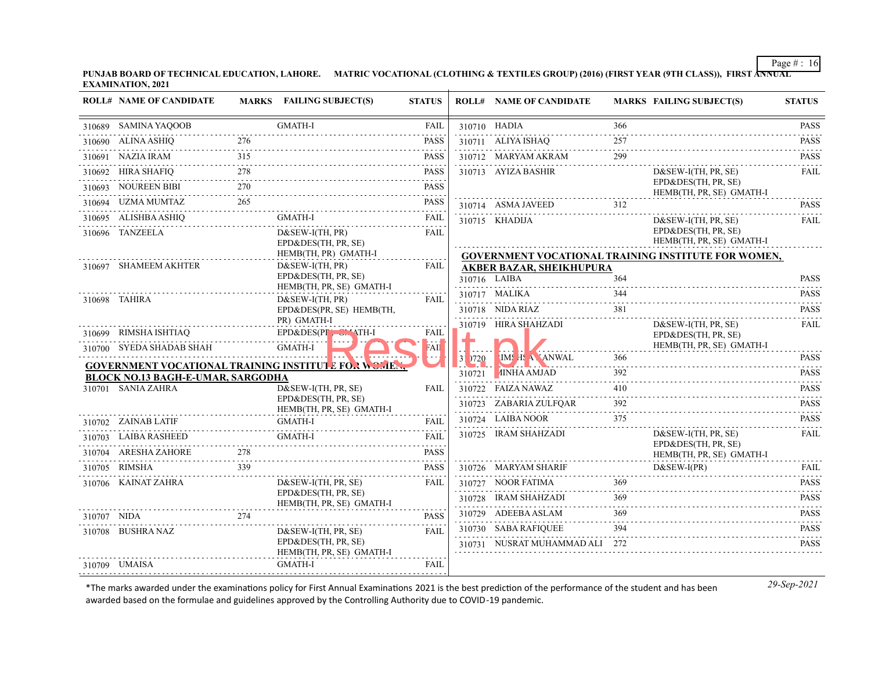**PUNJAB BOARD OF TECHNICAL EDUCATION, LAHORE. MATRIC VOCATIONAL (CLOTHING & TEXTILES GROUP) (2016) (FIRST YEAR (9TH CLASS)), FIRST ANNUAL EXAMINATION, 2021**

|             | <b>ROLL# NAME OF CANDIDATE</b>                                  |     | MARKS FAILING SUBJECT(S)                                   | <b>STATUS</b>    |            | <b>ROLL# NAME OF CANDIDATE</b>                              |          | <b>MARKS FAILING SUBJECT(S)</b>                     | <b>STATUS</b>    |
|-------------|-----------------------------------------------------------------|-----|------------------------------------------------------------|------------------|------------|-------------------------------------------------------------|----------|-----------------------------------------------------|------------------|
|             | 310689 SAMINA YAQOOB                                            |     | <b>GMATH-I</b>                                             | <b>FAIL</b>      |            | 310710 HADIA                                                | 366      |                                                     | <b>PASS</b>      |
|             | 310690 ALINA ASHIQ                                              | 276 |                                                            | <b>PASS</b>      |            | 310711 ALIYA ISHAQ                                          | 257      |                                                     | .<br><b>PASS</b> |
|             | 310691 NAZIA IRAM                                               | 315 |                                                            | <b>PASS</b>      |            | 310712 MARYAM AKRAM                                         | 299      |                                                     | .<br><b>PASS</b> |
|             | 310692 HIRA SHAFIQ                                              | 278 |                                                            | <b>PASS</b>      |            | 310713 AYIZA BASHIR                                         |          | $D&SEW-I(TH, PR, SE)$                               | <b>FAIL</b>      |
|             | 310693 NOUREEN BIBI                                             | 270 |                                                            | <b>PASS</b><br>. |            |                                                             |          | EPD&DES(TH, PR, SE)<br>HEMB(TH, PR, SE) GMATH-I     |                  |
|             | 310694 UZMA MUMTAZ<br>AZ 265<br>------------------------------- | 265 |                                                            | <b>PASS</b>      |            | 310714 ASMA JAVEED                                          | 312      |                                                     | <b>PASS</b>      |
|             | 310695 ALISHBA ASHIQ<br>IIQ<br>------------------------         |     | GMATH-I                                                    | FAIL             |            | 2000 - Andrea Andrew March<br>310715 KHADIJA                |          | $D&SEW-I(TH, PR, SE)$                               | <b>FAIL</b>      |
|             | 310696 TANZEELA                                                 |     | $D&SEW-I(TH, PR)$<br>EPD&DES(TH, PR, SE)                   | <b>FAIL</b>      |            |                                                             |          | EPD&DES(TH, PR, SE)<br>HEMB(TH, PR, SE) GMATH-I     |                  |
|             | HEMB(TH, PR) GMATH-I                                            |     |                                                            |                  |            |                                                             |          | GOVERNMENT VOCATIONAL TRAINING INSTITUTE FOR WOMEN, |                  |
|             | 310697 SHAMEEM AKHTER                                           |     | D&SEW-I(TH, PR)<br>EPD&DES(TH, PR, SE)                     | <b>FAIL</b>      |            | <b>AKBER BAZAR, SHEIKHUPURA</b><br>310716 LAIBA             | 364      |                                                     | <b>PASS</b>      |
|             |                                                                 |     | HEMB(TH, PR, SE) GMATH-I                                   |                  | .          | 310717 MALIKA                                               | 344      |                                                     | <b>PASS</b>      |
|             | 310698 TAHIRA                                                   |     | $D&SEW-I(TH, PR)$<br>EPD&DES(PR, SE) HEMB(TH,              | FAIL             |            | 310718 NIDA RIAZ                                            | .<br>381 |                                                     | .<br><b>PASS</b> |
|             |                                                                 |     | PR) GMATH-I                                                |                  |            | 310719 HIRA SHAHZADI                                        |          | $D&SEW-I(TH, PR, SE)$                               | FAIL             |
|             | 310699 RIMSHA ISHTIAQ                                           |     | EPD&DES(PF Un ATH-I                                        | FAIL             |            |                                                             |          | EPD&DES(TH, PR, SE)                                 |                  |
|             | 310700 SYEDA SHADAB SHAH                                        |     | GMATH-I                                                    | FATI             | $31$ $720$ | IMS H. A. ANWAL                                             | 366      | HEMB(TH, PR, SE) GMATH-I                            | <b>PASS</b>      |
|             |                                                                 |     | <b>GOVERNMENT VOCATIONAL TRAINING INSTITUTE FOR WOMEN,</b> |                  |            | <b>Northern Communication</b><br>310721 <i>I</i> INHA AMJAD | 392      |                                                     | <b>PASS</b>      |
|             | <b>BLOCK NO.13 BAGH-E-UMAR, SARGODHA</b><br>310701 SANIA ZAHRA  |     | D&SEW-I(TH, PR, SE)                                        | <b>FAIL</b>      |            | 310722 FAIZA NAWAZ                                          | 410      |                                                     | .<br><b>PASS</b> |
|             |                                                                 |     | EPD&DES(TH, PR, SE)                                        |                  |            | 310723 ZABARIA ZULFOAR                                      | 392      |                                                     | <b>PASS</b>      |
|             | 310702 ZAINAB LATIF                                             |     | HEMB(TH, PR, SE) GMATH-I<br><b>GMATH-I</b>                 | <b>FAIL</b>      |            | 310724 LAIBA NOOR                                           | 375      |                                                     | <b>PASS</b>      |
|             | 310703 LAIBA RASHEED                                            |     | <b>GMATH-I</b>                                             | <b>FAIL</b>      |            | 310725 IRAM SHAHZADI                                        |          | $D&SEW-I(TH, PR, SE)$                               | <b>FAIL</b>      |
|             | 310704 ARESHA ZAHORE                                            | 278 |                                                            | <b>PASS</b>      |            |                                                             |          | EPD&DES(TH, PR, SE)<br>HEMB(TH, PR, SE) GMATH-I     |                  |
|             | 310705 RIMSHA                                                   | 339 |                                                            | <b>PASS</b>      |            | 310726 MARYAM SHARIF                                        |          | $D&SEW-I(PR)$                                       | FAIL             |
|             | 310706 KAINAT ZAHRA                                             |     | $D&SEW-I(TH, PR, SE)$                                      | <b>FAIL</b>      |            | 310727 NOOR FATIMA                                          | 369      |                                                     | .<br><b>PASS</b> |
|             |                                                                 |     | EPD&DES(TH, PR, SE)<br>HEMB(TH, PR, SE) GMATH-I            |                  |            | 310728 IRAM SHAHZADI                                        | 369      |                                                     | <b>PASS</b>      |
| 310707 NIDA |                                                                 | 274 |                                                            | <b>PASS</b>      |            | 310729 ADEEBA ASLAM                                         | 369      |                                                     | <b>PASS</b>      |
|             | 310708 BUSHRA NAZ                                               |     | $D&SEW-I(TH, PR, SE)$                                      | <b>FAIL</b>      |            | 310730 SABA RAFIQUEE                                        | 394      |                                                     | <b>PASS</b>      |
|             |                                                                 |     | EPD&DES(TH, PR, SE)<br>HEMB(TH, PR, SE) GMATH-I            |                  |            | 310731 NUSRAT MUHAMMAD ALI 272                              |          |                                                     | .<br><b>PASS</b> |
|             | 310709 UMAISA                                                   |     | GMATH-I                                                    | <b>FAIL</b>      |            |                                                             |          |                                                     |                  |
|             |                                                                 |     |                                                            |                  |            |                                                             |          |                                                     |                  |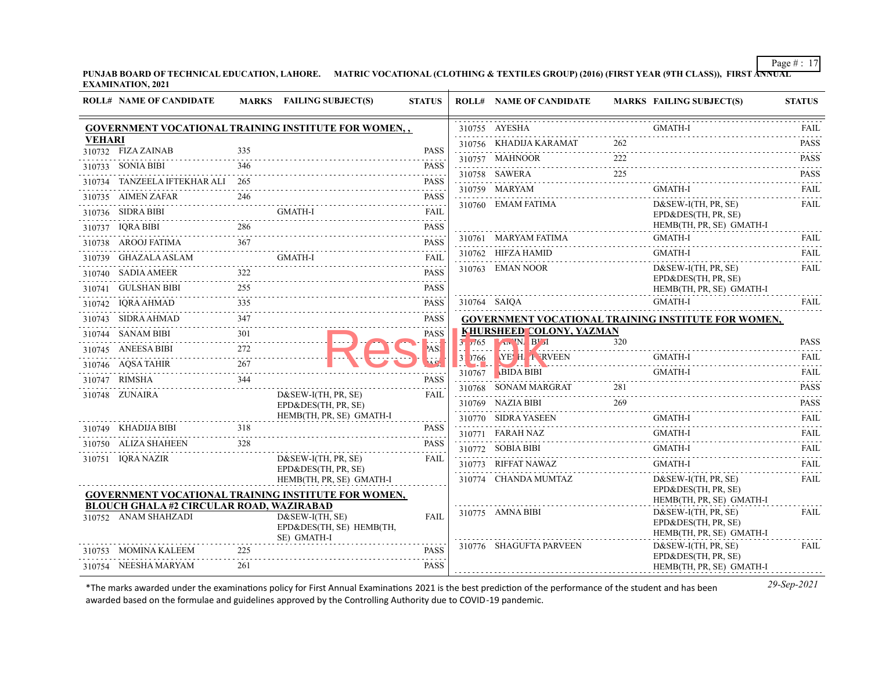**PUNJAB BOARD OF TECHNICAL EDUCATION, LAHORE. MATRIC VOCATIONAL (CLOTHING & TEXTILES GROUP) (2016) (FIRST YEAR (9TH CLASS)), FIRST ANNUAL EXAMINATION, 2021**

|               | <b>ROLL# NAME OF CANDIDATE</b>                                          |     | MARKS FAILING SUBJECT(S)                                                               | <b>STATUS</b>    |                | <b>ROLL# NAME OF CANDIDATE</b>   |     | <b>MARKS FAILING SUBJECT(S)</b>                                          | <b>STATUS</b>              |
|---------------|-------------------------------------------------------------------------|-----|----------------------------------------------------------------------------------------|------------------|----------------|----------------------------------|-----|--------------------------------------------------------------------------|----------------------------|
|               |                                                                         |     | GOVERNMENT VOCATIONAL TRAINING INSTITUTE FOR WOMEN,,                                   |                  |                | 310755 AYESHA                    |     | GMATH-I                                                                  | FAIL                       |
| <b>VEHARI</b> | 310732 FIZA ZAINAB                                                      | 335 |                                                                                        | <b>PASS</b>      |                | 310756 KHADIJA KARAMAT           | 262 |                                                                          | <b>PASS</b>                |
|               | 310733 SONIA BIBI                                                       | 346 |                                                                                        | <b>PASS</b>      |                | 310757 MAHNOOR                   | 222 |                                                                          | <b>PASS</b>                |
|               | 310734 TANZEELA IFTEKHAR ALI 265                                        |     |                                                                                        | <b>PASS</b>      |                | 310758 SAWERA<br>0758 SAWERA 225 | 225 |                                                                          | <b>PASS</b>                |
|               | 310735 AIMEN ZAFAR                                                      | 246 |                                                                                        | <b>PASS</b>      |                | 310759 MARYAM                    |     | GMATH-I                                                                  | <b>FAIL</b><br>.           |
|               | 310736 SIDRA BIBI                                                       |     | GMATH-I                                                                                | <b>FAIL</b>      |                | 310760 EMAM FATIMA               |     | $D&SEW-I(TH, PR, SE)$                                                    | <b>FAIL</b>                |
|               | 310737 IQRA BIBI                                                        | 286 |                                                                                        | <b>PASS</b>      |                |                                  |     | EPD&DES(TH, PR, SE)<br>HEMB(TH, PR, SE) GMATH-I                          |                            |
|               |                                                                         |     |                                                                                        | <b>PASS</b>      |                | 310761 MARYAM FATIMA             |     | GMATH-I                                                                  | FAII.                      |
|               | 310738 AROOJ FATIMA 367<br>310739 GHAZALA ASLAM                         |     | <b>GMATH-I</b>                                                                         | <b>FAIL</b>      |                | 310762 HIFZA HAMID               |     | <b>GMATH-I</b>                                                           | .<br><b>FAIL</b>           |
|               | 310740 SADIA AMEER                                                      | 322 |                                                                                        | .<br><b>PASS</b> |                | 310763 EMAN NOOR                 |     | $D&SEW-I(TH, PR, SE)$                                                    | FAIL                       |
|               | 310741 GULSHAN BIBI                                                     | 255 |                                                                                        | <b>PASS</b>      |                |                                  |     | EPD&DES(TH, PR, SE)<br>HEMB(TH, PR, SE) GMATH-I                          |                            |
|               | 310742 IQRA AHMAD                                                       | 335 |                                                                                        | <b>PASS</b>      |                | 310764 SAIQA                     |     | <b>GMATH-I</b>                                                           | FAII.                      |
|               | 310743 SIDRA AHMAD                                                      | 347 |                                                                                        | <b>PASS</b>      |                |                                  |     | <b>GOVERNMENT VOCATIONAL TRAINING INSTITUTE FOR WOMEN,</b>               |                            |
|               | 310744 SANAM BIBI                                                       | 301 |                                                                                        | <b>PASS</b>      |                | KHURSHEED COLONY, YAZMAN         |     |                                                                          |                            |
|               | 310745 ANEESA BIBI                                                      | 272 |                                                                                        | AS!              | 3.765<br>.     | <b>LAWIN</b> BEL                 | 320 |                                                                          | <b>PASS</b>                |
|               | 310746 AQSA TAHIR<br>SA TAHIR 267                                       |     |                                                                                        |                  | 3 766          | <b>NE H E RVEEN</b>              |     | GMATH-I                                                                  | <b>FAIL</b>                |
|               | 310747 RIMSHA                                                           | 344 |                                                                                        | <b>PASS</b>      | . <del>.</del> | 310767 BIDA BIBI                 |     | <b>GMATH-I</b>                                                           | FAIL                       |
|               | 310748 ZUNAIRA                                                          |     | $D&SEW-I(TH, PR, SE)$                                                                  | <b>FAIL</b>      |                | 310768 SONAM MARGRAT             | 281 |                                                                          | <b>PASS</b><br>2.2.2.2.2.1 |
|               |                                                                         |     | EPD&DES(TH, PR, SE)                                                                    |                  |                | 310769 NAZIA BIBI                | 269 |                                                                          | <b>PASS</b>                |
|               | 310749 KHADIJA BIBI 318                                                 |     | HEMB(TH, PR, SE) GMATH-I                                                               | <b>PASS</b>      |                | 310770 SIDRA YASEEN              |     | <b>GMATH-I</b>                                                           | FAII.<br>.                 |
|               | 310750 ALIZA SHAHEEN                                                    | 328 |                                                                                        | <b>PASS</b>      |                | 310771 FARAH NAZ                 |     | GMATH-I                                                                  | FAIL                       |
|               | 310751 IQRA NAZIR                                                       |     | $D&SEW-I(TH, PR, SE)$                                                                  | FAII.            |                | 310772 SOBIA BIBI                |     | <b>GMATH-I</b>                                                           | <b>FAIL</b><br>$- - - - -$ |
|               |                                                                         |     | EPD&DES(TH, PR, SE)                                                                    |                  |                | 310773 RIFFAT NAWAZ              |     | <b>GMATH-I</b>                                                           | FAIL.                      |
|               |                                                                         |     | HEMB(TH, PR, SE) GMATH-I<br><b>GOVERNMENT VOCATIONAL TRAINING INSTITUTE FOR WOMEN,</b> |                  |                | 310774 CHANDA MUMTAZ             |     | $D&SEW-I(TH, PR, SE)$<br>EPD&DES(TH, PR, SE)<br>HEMB(TH, PR, SE) GMATH-I | FAIL                       |
|               | <b>BLOUCH GHALA #2 CIRCULAR ROAD, WAZIRABAD</b><br>310752 ANAM SHAHZADI |     | $D&SEW-I(TH, SE)$<br>EPD&DES(TH, SE) HEMB(TH,<br>SE) GMATH-I                           | <b>FAIL</b>      |                | 310775 AMNA BIBI                 |     | $D&SEW-I(TH, PR, SE)$<br>EPD&DES(TH, PR, SE)<br>HEMB(TH, PR, SE) GMATH-I | .<br>FAIL                  |
|               | 310753 MOMINA KALEEM                                                    | 225 |                                                                                        | <b>PASS</b>      |                | 310776 SHAGUFTA PARVEEN          |     | $D&SEW-I(TH, PR, SE)$<br>EPD&DES(TH, PR, SE)                             | <b>FAIL</b>                |
|               | 310754 NEESHA MARYAM                                                    | 261 |                                                                                        | <b>PASS</b>      |                |                                  |     | HEMB(TH, PR, SE) GMATH-I                                                 |                            |